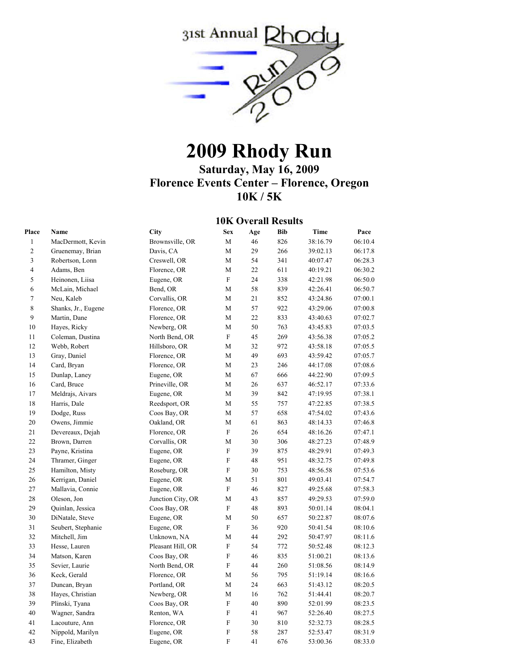

## **2009 Rhody Run**

**Saturday, May 16, 2009 Florence Events Center – Florence, Oregon 10K / 5K** 

## **10K Overall Results**

| Place<br>Name                     | City              | <b>Sex</b>                | Age | <b>Bib</b> | <b>Time</b> | Pace    |
|-----------------------------------|-------------------|---------------------------|-----|------------|-------------|---------|
| $\mathbf{1}$<br>MacDermott, Kevin | Brownsville, OR   | M                         | 46  | 826        | 38:16.79    | 06:10.4 |
| $\sqrt{2}$<br>Gruenemay, Brian    | Davis, CA         | М                         | 29  | 266        | 39:02.13    | 06:17.8 |
| 3<br>Robertson, Lonn              | Creswell, OR      | M                         | 54  | 341        | 40:07.47    | 06:28.3 |
| $\overline{4}$<br>Adams, Ben      | Florence, OR      | M                         | 22  | 611        | 40:19.21    | 06:30.2 |
| 5<br>Heinonen, Liisa              | Eugene, OR        | $\mathbf F$               | 24  | 338        | 42:21.98    | 06:50.0 |
| $\sqrt{6}$<br>McLain, Michael     | Bend, OR          | М                         | 58  | 839        | 42:26.41    | 06:50.7 |
| $\boldsymbol{7}$<br>Neu, Kaleb    | Corvallis, OR     | M                         | 21  | 852        | 43:24.86    | 07:00.1 |
| $\,8\,$<br>Shanks, Jr., Eugene    | Florence, OR      | M                         | 57  | 922        | 43:29.06    | 07:00.8 |
| $\boldsymbol{9}$<br>Martin, Dane  | Florence, OR      | M                         | 22  | 833        | 43:40.63    | 07:02.7 |
| 10<br>Hayes, Ricky                | Newberg, OR       | M                         | 50  | 763        | 43:45.83    | 07:03.5 |
| 11<br>Coleman, Dustina            | North Bend, OR    | $\boldsymbol{\mathrm{F}}$ | 45  | 269        | 43:56.38    | 07:05.2 |
| 12<br>Webb, Robert                | Hillsboro, OR     | $\mathbf M$               | 32  | 972        | 43:58.18    | 07:05.5 |
| 13<br>Gray, Daniel                | Florence, OR      | M                         | 49  | 693        | 43:59.42    | 07:05.7 |
| 14<br>Card, Bryan                 | Florence, OR      | М                         | 23  | 246        | 44:17.08    | 07:08.6 |
| 15<br>Dunlap, Laney               | Eugene, OR        | M                         | 67  | 666        | 44:22.90    | 07:09.5 |
| 16<br>Card, Bruce                 | Prineville, OR    | $\mathbf M$               | 26  | 637        | 46:52.17    | 07:33.6 |
| 17<br>Meldrajs, Aivars            | Eugene, OR        | M                         | 39  | 842        | 47:19.95    | 07:38.1 |
| 18<br>Harris, Dale                | Reedsport, OR     | М                         | 55  | 757        | 47:22.85    | 07:38.5 |
| 19<br>Dodge, Russ                 | Coos Bay, OR      | M                         | 57  | 658        | 47:54.02    | 07:43.6 |
| 20<br>Owens, Jimmie               | Oakland, OR       | M                         | 61  | 863        | 48:14.33    | 07:46.8 |
| $21\,$<br>Devereaux, Dejah        | Florence, OR      | $\mathbf F$               | 26  | 654        | 48:16.26    | 07:47.1 |
| 22<br>Brown, Darren               | Corvallis, OR     | М                         | 30  | 306        | 48:27.23    | 07:48.9 |
| 23<br>Payne, Kristina             | Eugene, OR        | $\mathbf F$               | 39  | 875        | 48:29.91    | 07:49.3 |
| 24<br>Thramer, Ginger             | Eugene, OR        | ${\rm F}$                 | 48  | 951        | 48:32.75    | 07:49.8 |
| 25<br>Hamilton, Misty             | Roseburg, OR      | $\mathbf F$               | 30  | 753        | 48:56.58    | 07:53.6 |
| 26<br>Kerrigan, Daniel            | Eugene, OR        | M                         | 51  | 801        | 49:03.41    | 07:54.7 |
| 27<br>Mallavia, Connie            | Eugene, OR        | $\boldsymbol{\mathrm{F}}$ | 46  | 827        | 49:25.68    | 07:58.3 |
| $28\,$<br>Oleson, Jon             | Junction City, OR | M                         | 43  | 857        | 49:29.53    | 07:59.0 |
| 29<br>Quinlan, Jessica            | Coos Bay, OR      | $\mathbf F$               | 48  | 893        | 50:01.14    | 08:04.1 |
| 30<br>DiNatale, Steve             | Eugene, OR        | M                         | 50  | 657        | 50:22.87    | 08:07.6 |
| 31<br>Seubert, Stephanie          | Eugene, OR        | $\boldsymbol{\mathrm{F}}$ | 36  | 920        | 50:41.54    | 08:10.6 |
| 32<br>Mitchell, Jim               | Unknown, NA       | M                         | 44  | 292        | 50:47.97    | 08:11.6 |
| 33<br>Hesse, Lauren               | Pleasant Hill, OR | $\mathbf F$               | 54  | 772        | 50:52.48    | 08:12.3 |
| 34<br>Matson, Karen               | Coos Bay, OR      | $\overline{F}$            | 46  | 835        | 51:00.21    | 08:13.6 |
| 35<br>Sevier, Laurie              | North Bend, OR    | $\overline{F}$            | 44  | 260        | 51:08.56    | 08:14.9 |
| 36<br>Keck, Gerald                | Florence, OR      | M                         | 56  | 795        | 51:19.14    | 08:16.6 |
| 37<br>Duncan, Bryan               | Portland, OR      | M                         | 24  | 663        | 51:43.12    | 08:20.5 |
| 38<br>Hayes, Christian            | Newberg, OR       | M                         | 16  | 762        | 51:44.41    | 08:20.7 |
| 39<br>Plinski, Tyana              | Coos Bay, OR      | $\boldsymbol{\mathrm{F}}$ | 40  | 890        | 52:01.99    | 08:23.5 |
| 40<br>Wagner, Sandra              | Renton, WA        | ${\rm F}$                 | 41  | 967        | 52:26.40    | 08:27.5 |
| 41<br>Lacouture, Ann              | Florence, OR      | $\mathbf F$               | 30  | 810        | 52:32.73    | 08:28.5 |
| 42<br>Nippold, Marilyn            | Eugene, OR        | ${\rm F}$                 | 58  | 287        | 52:53.47    | 08:31.9 |
| 43<br>Fine, Elizabeth             | Eugene, OR        | $\mathbf F$               | 41  | 676        | 53:00.36    | 08:33.0 |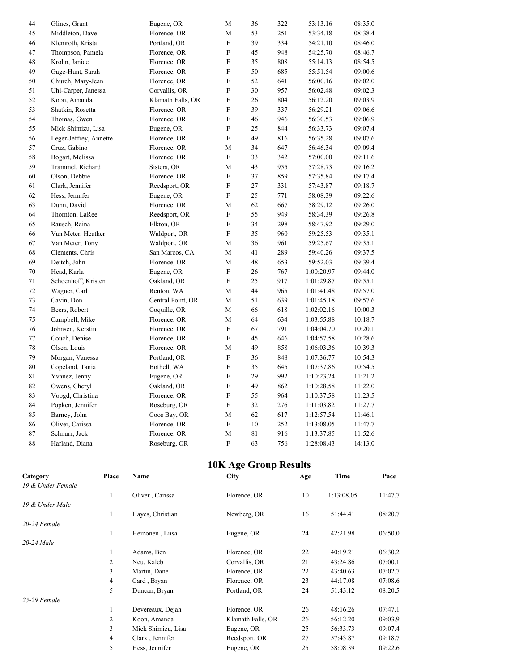| 44 | Glines, Grant          | Eugene, OR        | М                         | 36 | 322 | 53:13.16   | 08:35.0 |
|----|------------------------|-------------------|---------------------------|----|-----|------------|---------|
| 45 | Middleton, Dave        | Florence, OR      | M                         | 53 | 251 | 53:34.18   | 08:38.4 |
| 46 | Klemroth, Krista       | Portland, OR      | $\boldsymbol{\mathrm{F}}$ | 39 | 334 | 54:21.10   | 08:46.0 |
| 47 | Thompson, Pamela       | Florence, OR      | $\boldsymbol{\mathrm{F}}$ | 45 | 948 | 54:25.70   | 08:46.7 |
| 48 | Krohn, Janice          | Florence, OR      | F                         | 35 | 808 | 55:14.13   | 08:54.5 |
| 49 | Gage-Hunt, Sarah       | Florence, OR      | F                         | 50 | 685 | 55:51.54   | 09:00.6 |
| 50 | Church, Mary-Jean      | Florence, OR      | $\boldsymbol{\mathrm{F}}$ | 52 | 641 | 56:00.16   | 09:02.0 |
| 51 | Uhl-Carper, Janessa    | Corvallis, OR     | F                         | 30 | 957 | 56:02.48   | 09:02.3 |
| 52 | Koon, Amanda           | Klamath Falls, OR | $\boldsymbol{\mathrm{F}}$ | 26 | 804 | 56:12.20   | 09:03.9 |
| 53 | Shatkin, Rosetta       | Florence, OR      | $\boldsymbol{\mathrm{F}}$ | 39 | 337 | 56:29.21   | 09:06.6 |
| 54 | Thomas, Gwen           | Florence, OR      | F                         | 46 | 946 | 56:30.53   | 09:06.9 |
| 55 | Mick Shimizu, Lisa     | Eugene, OR        | $\boldsymbol{\mathrm{F}}$ | 25 | 844 | 56:33.73   | 09:07.4 |
| 56 | Leger-Jeffrey, Annette | Florence, OR      | F                         | 49 | 816 | 56:35.28   | 09:07.6 |
| 57 | Cruz, Gabino           | Florence, OR      | М                         | 34 | 647 | 56:46.34   | 09:09.4 |
| 58 | Bogart, Melissa        | Florence, OR      | $\boldsymbol{\mathrm{F}}$ | 33 | 342 | 57:00.00   | 09:11.6 |
| 59 | Trammel, Richard       | Sisters, OR       | M                         | 43 | 955 | 57:28.73   | 09:16.2 |
| 60 | Olson, Debbie          | Florence, OR      | $\boldsymbol{\mathrm{F}}$ | 37 | 859 | 57:35.84   | 09:17.4 |
| 61 | Clark, Jennifer        | Reedsport, OR     | $\boldsymbol{\mathrm{F}}$ | 27 | 331 | 57:43.87   | 09:18.7 |
| 62 | Hess, Jennifer         | Eugene, OR        | $\boldsymbol{\mathrm{F}}$ | 25 | 771 | 58:08.39   | 09:22.6 |
| 63 | Dunn, David            | Florence, OR      | М                         | 62 | 667 | 58:29.12   | 09:26.0 |
| 64 | Thornton, LaRee        | Reedsport, OR     | $\boldsymbol{\mathrm{F}}$ | 55 | 949 | 58:34.39   | 09:26.8 |
| 65 | Rausch, Raina          | Elkton, OR        | $\boldsymbol{\mathrm{F}}$ | 34 | 298 | 58:47.92   | 09:29.0 |
| 66 | Van Meter, Heather     | Waldport, OR      | F                         | 35 | 960 | 59:25.53   | 09:35.1 |
| 67 | Van Meter, Tony        | Waldport, OR      | M                         | 36 | 961 | 59:25.67   | 09:35.1 |
| 68 | Clements, Chris        | San Marcos, CA    | M                         | 41 | 289 | 59:40.26   | 09:37.5 |
| 69 | Deitch, John           | Florence, OR      | M                         | 48 | 653 | 59:52.03   | 09:39.4 |
| 70 | Head, Karla            | Eugene, OR        | $\boldsymbol{\mathrm{F}}$ | 26 | 767 | 1:00:20.97 | 09:44.0 |
| 71 | Schoenhoff, Kristen    | Oakland, OR       | $\boldsymbol{\mathrm{F}}$ | 25 | 917 | 1:01:29.87 | 09:55.1 |
| 72 | Wagner, Carl           | Renton, WA        | М                         | 44 | 965 | 1:01:41.48 | 09:57.0 |
| 73 | Cavin, Don             | Central Point, OR | M                         | 51 | 639 | 1:01:45.18 | 09:57.6 |
| 74 | Beers, Robert          | Coquille, OR      | М                         | 66 | 618 | 1:02:02.16 | 10:00.3 |
| 75 | Campbell, Mike         | Florence, OR      | M                         | 64 | 634 | 1:03:55.88 | 10:18.7 |
| 76 | Johnsen, Kerstin       | Florence, OR      | $\boldsymbol{\mathrm{F}}$ | 67 | 791 | 1:04:04.70 | 10:20.1 |
| 77 | Couch, Denise          | Florence, OR      | ${\rm F}$                 | 45 | 646 | 1:04:57.58 | 10:28.6 |
| 78 | Olsen, Louis           | Florence, OR      | M                         | 49 | 858 | 1:06:03.36 | 10:39.3 |
| 79 | Morgan, Vanessa        | Portland, OR      | $\boldsymbol{\mathrm{F}}$ | 36 | 848 | 1:07:36.77 | 10:54.3 |
| 80 | Copeland, Tania        | Bothell, WA       | $\boldsymbol{\mathrm{F}}$ | 35 | 645 | 1:07:37.86 | 10:54.5 |
| 81 | Yvanez, Jenny          | Eugene, OR        | F                         | 29 | 992 | 1:10:23.24 | 11:21.2 |
| 82 | Owens, Cheryl          | Oakland, OR       | $\boldsymbol{\mathrm{F}}$ | 49 | 862 | 1:10:28.58 | 11:22.0 |
| 83 | Voogd, Christina       | Florence, OR      | $\boldsymbol{\mathrm{F}}$ | 55 | 964 | 1:10:37.58 | 11:23.5 |
| 84 | Popken, Jennifer       | Roseburg, OR      | $\boldsymbol{\mathrm{F}}$ | 32 | 276 | 1:11:03.82 | 11:27.7 |
| 85 | Barney, John           | Coos Bay, OR      | M                         | 62 | 617 | 1:12:57.54 | 11:46.1 |
| 86 | Oliver, Carissa        | Florence, OR      | ${\rm F}$                 | 10 | 252 | 1:13:08.05 | 11:47.7 |
| 87 | Schnurr, Jack          | Florence, OR      | M                         | 81 | 916 | 1:13:37.85 | 11:52.6 |
| 88 | Harland, Diana         | Roseburg, OR      | $\boldsymbol{\mathrm{F}}$ | 63 | 756 | 1:28:08.43 | 14:13.0 |

## **10K Age Group Results**

| Category          | Place | Name               | <b>City</b>       | Age | Time       | Pace    |
|-------------------|-------|--------------------|-------------------|-----|------------|---------|
| 19 & Under Female |       |                    |                   |     |            |         |
|                   |       | Oliver, Carissa    | Florence, OR      | 10  | 1:13:08.05 | 11:47.7 |
| 19 & Under Male   |       |                    |                   |     |            |         |
|                   |       | Hayes, Christian   | Newberg, OR       | 16  | 51:44.41   | 08:20.7 |
| 20-24 Female      |       |                    |                   |     |            |         |
|                   |       | Heinonen, Liisa    | Eugene, OR        | 24  | 42:21.98   | 06:50.0 |
| 20-24 Male        |       |                    |                   |     |            |         |
|                   |       | Adams, Ben         | Florence, OR      | 22  | 40:19.21   | 06:30.2 |
|                   | 2     | Neu, Kaleb         | Corvallis, OR     | 21  | 43:24.86   | 07:00.1 |
|                   | 3     | Martin, Dane       | Florence, OR      | 22  | 43:40.63   | 07:02.7 |
|                   | 4     | Card, Bryan        | Florence, OR      | 23  | 44:17.08   | 07:08.6 |
|                   | 5     | Duncan, Bryan      | Portland, OR      | 24  | 51:43.12   | 08:20.5 |
| 25-29 Female      |       |                    |                   |     |            |         |
|                   |       | Devereaux, Dejah   | Florence, OR      | 26  | 48:16.26   | 07:47.1 |
|                   | 2     | Koon, Amanda       | Klamath Falls, OR | 26  | 56:12.20   | 09:03.9 |
|                   | 3     | Mick Shimizu, Lisa | Eugene, OR        | 25  | 56:33.73   | 09:07.4 |
|                   | 4     | Clark, Jennifer    | Reedsport, OR     | 27  | 57:43.87   | 09:18.7 |
|                   | 5     | Hess, Jennifer     | Eugene, OR        | 25  | 58:08.39   | 09:22.6 |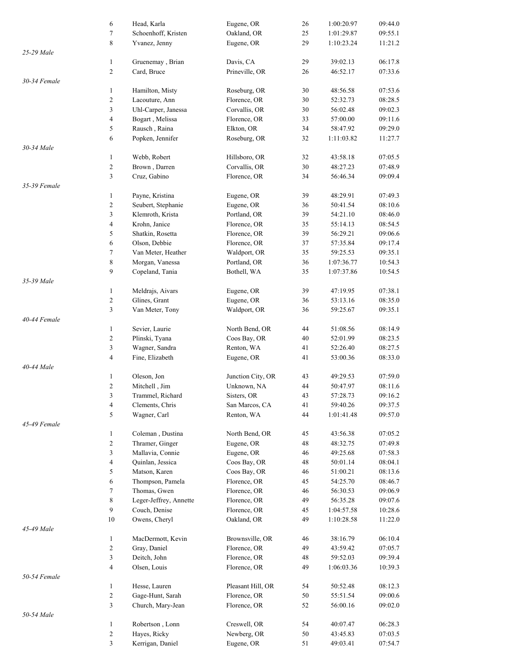|              | 6                        | Head, Karla            | Eugene, OR        | 26 | 1:00:20.97 | 09:44.0 |
|--------------|--------------------------|------------------------|-------------------|----|------------|---------|
|              | 7                        | Schoenhoff, Kristen    | Oakland, OR       | 25 | 1:01:29.87 | 09:55.1 |
|              | 8                        | Yvanez, Jenny          | Eugene, OR        | 29 | 1:10:23.24 | 11:21.2 |
| 25-29 Male   |                          |                        |                   |    |            |         |
|              | $\mathbf{1}$             | Gruenemay, Brian       | Davis, CA         | 29 | 39:02.13   | 06:17.8 |
|              |                          |                        |                   |    |            |         |
|              | $\overline{c}$           | Card, Bruce            | Prineville, OR    | 26 | 46:52.17   | 07:33.6 |
| 30-34 Female |                          |                        |                   |    |            |         |
|              | $\mathbf{1}$             | Hamilton, Misty        | Roseburg, OR      | 30 | 48:56.58   | 07:53.6 |
|              | $\sqrt{2}$               | Lacouture, Ann         | Florence, OR      | 30 | 52:32.73   | 08:28.5 |
|              | 3                        | Uhl-Carper, Janessa    | Corvallis, OR     | 30 | 56:02.48   | 09:02.3 |
|              |                          |                        | Florence, OR      |    |            |         |
|              | $\overline{\mathbf{4}}$  | Bogart, Melissa        |                   | 33 | 57:00.00   | 09:11.6 |
|              | 5                        | Rausch, Raina          | Elkton, OR        | 34 | 58:47.92   | 09:29.0 |
|              | 6                        | Popken, Jennifer       | Roseburg, OR      | 32 | 1:11:03.82 | 11:27.7 |
| 30-34 Male   |                          |                        |                   |    |            |         |
|              | $\mathbf{1}$             | Webb, Robert           | Hillsboro, OR     | 32 | 43:58.18   | 07:05.5 |
|              | $\sqrt{2}$               | Brown, Darren          | Corvallis, OR     | 30 | 48:27.23   | 07:48.9 |
|              |                          |                        |                   |    |            |         |
|              | 3                        | Cruz, Gabino           | Florence, OR      | 34 | 56:46.34   | 09:09.4 |
| 35-39 Female |                          |                        |                   |    |            |         |
|              | 1                        | Payne, Kristina        | Eugene, OR        | 39 | 48:29.91   | 07:49.3 |
|              | $\boldsymbol{2}$         | Seubert, Stephanie     | Eugene, OR        | 36 | 50:41.54   | 08:10.6 |
|              | 3                        | Klemroth, Krista       | Portland, OR      | 39 | 54:21.10   | 08:46.0 |
|              |                          |                        |                   |    |            |         |
|              | $\overline{\mathbf{4}}$  | Krohn, Janice          | Florence, OR      | 35 | 55:14.13   | 08:54.5 |
|              | 5                        | Shatkin, Rosetta       | Florence, OR      | 39 | 56:29.21   | 09:06.6 |
|              | 6                        | Olson, Debbie          | Florence, OR      | 37 | 57:35.84   | 09:17.4 |
|              | 7                        | Van Meter, Heather     | Waldport, OR      | 35 | 59:25.53   | 09:35.1 |
|              | $\,$ 8 $\,$              | Morgan, Vanessa        | Portland, OR      | 36 | 1:07:36.77 | 10:54.3 |
|              | 9                        | Copeland, Tania        | Bothell, WA       | 35 | 1:07:37.86 | 10:54.5 |
|              |                          |                        |                   |    |            |         |
| 35-39 Male   |                          |                        |                   |    |            |         |
|              | $\mathbf{1}$             | Meldrajs, Aivars       | Eugene, OR        | 39 | 47:19.95   | 07:38.1 |
|              | $\boldsymbol{2}$         | Glines, Grant          | Eugene, OR        | 36 | 53:13.16   | 08:35.0 |
|              | 3                        | Van Meter, Tony        | Waldport, OR      | 36 | 59:25.67   | 09:35.1 |
| 40-44 Female |                          |                        |                   |    |            |         |
|              | $\mathbf{1}$             | Sevier, Laurie         | North Bend, OR    | 44 | 51:08.56   | 08:14.9 |
|              | 2                        | Plinski, Tyana         | Coos Bay, OR      | 40 | 52:01.99   | 08:23.5 |
|              |                          |                        |                   |    |            |         |
|              | 3                        | Wagner, Sandra         | Renton, WA        | 41 | 52:26.40   | 08:27.5 |
|              | 4                        | Fine, Elizabeth        | Eugene, OR        | 41 | 53:00.36   | 08:33.0 |
| 40-44 Male   |                          |                        |                   |    |            |         |
|              | $\mathbf{1}$             | Oleson, Jon            | Junction City, OR | 43 | 49:29.53   | 07:59.0 |
|              | $\overline{c}$           | Mitchell, Jim          | Unknown, NA       | 44 | 50:47.97   | 08:11.6 |
|              | 3                        | Trammel, Richard       | Sisters, OR       | 43 | 57:28.73   | 09:16.2 |
|              |                          |                        |                   |    |            |         |
|              | 4                        | Clements, Chris        | San Marcos, CA    | 41 | 59:40.26   | 09:37.5 |
|              | 5                        | Wagner, Carl           | Renton, WA        | 44 | 1:01:41.48 | 09:57.0 |
| 45-49 Female |                          |                        |                   |    |            |         |
|              | $\mathbf{1}$             | Coleman, Dustina       | North Bend, OR    | 45 | 43:56.38   | 07:05.2 |
|              | $\boldsymbol{2}$         | Thramer, Ginger        | Eugene, OR        | 48 | 48:32.75   | 07:49.8 |
|              | 3                        | Mallavia, Connie       | Eugene, OR        | 46 | 49:25.68   | 07:58.3 |
|              |                          |                        |                   |    |            |         |
|              | $\overline{\mathcal{L}}$ | Quinlan, Jessica       | Coos Bay, OR      | 48 | 50:01.14   | 08:04.1 |
|              | 5                        | Matson, Karen          | Coos Bay, OR      | 46 | 51:00.21   | 08:13.6 |
|              | 6                        | Thompson, Pamela       | Florence, OR      | 45 | 54:25.70   | 08:46.7 |
|              | 7                        | Thomas, Gwen           | Florence, OR      | 46 | 56:30.53   | 09:06.9 |
|              | 8                        | Leger-Jeffrey, Annette | Florence, OR      | 49 | 56:35.28   | 09:07.6 |
|              |                          |                        |                   |    |            |         |
|              | 9                        | Couch, Denise          | Florence, OR      | 45 | 1:04:57.58 | 10:28.6 |
|              | 10                       | Owens, Cheryl          | Oakland, OR       | 49 | 1:10:28.58 | 11:22.0 |
| 45-49 Male   |                          |                        |                   |    |            |         |
|              | $\mathbf{1}$             | MacDermott, Kevin      | Brownsville, OR   | 46 | 38:16.79   | 06:10.4 |
|              | $\boldsymbol{2}$         | Gray, Daniel           | Florence, OR      | 49 | 43:59.42   | 07:05.7 |
|              | 3                        | Deitch, John           | Florence, OR      | 48 | 59:52.03   | 09:39.4 |
|              | 4                        | Olsen, Louis           | Florence, OR      | 49 | 1:06:03.36 | 10:39.3 |
|              |                          |                        |                   |    |            |         |
| 50-54 Female |                          |                        |                   |    |            |         |
|              | $\mathbf{1}$             | Hesse, Lauren          | Pleasant Hill, OR | 54 | 50:52.48   | 08:12.3 |
|              | $\boldsymbol{2}$         | Gage-Hunt, Sarah       | Florence, OR      | 50 | 55:51.54   | 09:00.6 |
|              | 3                        | Church, Mary-Jean      | Florence, OR      | 52 | 56:00.16   | 09:02.0 |
| 50-54 Male   |                          |                        |                   |    |            |         |
|              | $\mathbf{1}$             | Robertson, Lonn        | Creswell, OR      | 54 | 40:07.47   | 06:28.3 |
|              | $\boldsymbol{2}$         | Hayes, Ricky           | Newberg, OR       | 50 | 43:45.83   | 07:03.5 |
|              |                          |                        |                   |    |            |         |
|              | 3                        | Kerrigan, Daniel       | Eugene, OR        | 51 | 49:03.41   | 07:54.7 |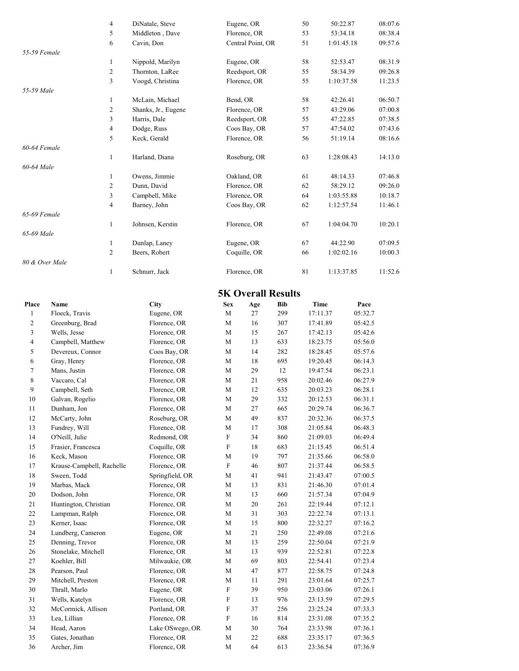|                | $\overline{4}$                 | DiNatale, Steve              |                           | Eugene, OR                |            | 50                   | 50:22.87   | 08:07.6            |
|----------------|--------------------------------|------------------------------|---------------------------|---------------------------|------------|----------------------|------------|--------------------|
|                | $\sqrt{5}$                     | Middleton, Dave              |                           | Florence, OR              |            | 53                   | 53:34.18   | 08:38.4            |
|                | 6                              | Cavin, Don                   |                           | Central Point, OR         |            | 51                   | 1:01:45.18 | 09:57.6            |
| 55-59 Female   |                                |                              |                           |                           |            |                      |            |                    |
|                | $\mathbf{1}$                   | Nippold, Marilyn             |                           | Eugene, OR                |            | 58                   | 52:53.47   | 08:31.9            |
|                |                                |                              |                           |                           |            |                      |            |                    |
|                | $\boldsymbol{2}$               | Thornton, LaRee              |                           | Reedsport, OR             |            | 55                   | 58:34.39   | 09:26.8            |
|                | 3                              | Voogd, Christina             |                           | Florence, OR              |            | 55                   | 1:10:37.58 | 11:23.5            |
| 55-59 Male     |                                |                              |                           |                           |            |                      |            |                    |
|                | $\mathbf{1}$                   | McLain, Michael              | Bend, OR                  |                           |            | 58                   | 42:26.41   | 06:50.7            |
|                | $\overline{c}$                 | Shanks, Jr., Eugene          |                           | Florence, OR              |            | 57                   | 43:29.06   | 07:00.8            |
|                | $\mathfrak{Z}$                 | Harris, Dale                 |                           | Reedsport, OR             |            | 55                   | 47:22.85   | 07:38.5            |
|                | $\overline{4}$                 | Dodge, Russ                  |                           | Coos Bay, OR              |            | 57                   | 47:54.02   | 07:43.6            |
|                | 5                              | Keck, Gerald                 |                           | Florence, OR              |            | 56                   | 51:19.14   | 08:16.6            |
| 60-64 Female   |                                |                              |                           |                           |            |                      |            |                    |
|                | $\mathbf{1}$                   | Harland, Diana               |                           | Roseburg, OR              |            | 63                   | 1:28:08.43 | 14:13.0            |
| 60-64 Male     |                                |                              |                           |                           |            |                      |            |                    |
|                | $\mathbf{1}$                   | Owens, Jimmie                |                           | Oakland, OR               |            | 61                   | 48:14.33   | 07:46.8            |
|                | $\sqrt{2}$                     | Dunn, David                  |                           | Florence, OR              |            | 62                   | 58:29.12   | 09:26.0            |
|                | $\mathfrak{Z}$                 | Campbell, Mike               |                           | Florence, OR              |            | 64                   | 1:03:55.88 | 10:18.7            |
|                | $\overline{4}$                 | Barney, John                 |                           | Coos Bay, OR              |            | 62                   | 1:12:57.54 | 11:46.1            |
| 65-69 Female   |                                |                              |                           |                           |            |                      |            |                    |
|                | $\mathbf{1}$                   | Johnsen, Kerstin             |                           | Florence, OR              |            | 67                   | 1:04:04.70 | 10:20.1            |
| 65-69 Male     |                                |                              |                           |                           |            |                      |            |                    |
|                |                                | Dunlap, Laney                |                           | Eugene, OR                |            |                      |            | 07:09.5            |
|                | $\mathbf{1}$                   |                              |                           |                           |            | 67                   | 44:22.90   |                    |
|                | $\overline{c}$                 | Beers, Robert                |                           | Coquille, OR              |            | 66                   | 1:02:02.16 | 10:00.3            |
| 80 & Over Male |                                |                              |                           |                           |            |                      |            |                    |
|                | $\mathbf{1}$                   | Schnurr, Jack                |                           | Florence, OR              |            | $8\sqrt{1}$          | 1:13:37.85 | 11:52.6            |
|                |                                |                              |                           |                           |            |                      |            |                    |
|                |                                |                              |                           | <b>5K Overall Results</b> |            |                      |            |                    |
| Place          | Name                           | <b>City</b>                  | <b>Sex</b>                | Age                       | <b>Bib</b> | Time                 |            | Pace               |
| $\mathbf{1}$   | Floeck, Travis                 | Eugene, OR                   | $\mathbf M$               | 27                        | 299        | 17:11.37             |            | 05:32.7            |
| $\sqrt{2}$     | Greenburg, Brad                | Florence, OR                 | $\mathbf M$               | 16                        | 307        | 17:41.89             |            | 05:42.5            |
| 3              | Wells, Jesse                   | Florence, OR                 | М                         | 15                        | 267        | 17:42.13             |            | 05:42.6            |
|                |                                |                              |                           |                           |            |                      |            |                    |
| 4              | Campbell, Matthew              | Florence, OR                 | М                         | 13                        | 633        | 18:23.75             |            | 05:56.0            |
| 5              | Devereux, Connor               | Coos Bay, OR                 | М                         | 14                        | 282        | 18:28.45             |            | 05:57.6            |
| 6              | Gray, Henry                    | Florence, OR                 | М                         | 18                        | 695        | 19:20.45             |            | 06:14.3            |
| $\tau$         | Mans, Justin                   | Florence, OR                 | М                         | 29                        | 12         | 19:47.54             |            | 06:23.1            |
| $\,$ 8 $\,$    | Vaccaro, Cal                   | Florence, OR                 | $\mathbf M$               | 21                        | 958        | 20:02.46             |            | 06:27.9            |
| 9              | Campbell, Seth                 | Florence, OR                 | $\mathbf M$               | 12                        | 635        | 20:03.23             |            | 06:28.1            |
| $10\,$         | Galvan, Rogelio                | Florence, OR                 | $\mathbf M$               | $29\,$                    | 332        | 20:12.53             |            | 06:31.1            |
| 11             | Dunham, Jon                    | Florence, OR                 | М                         | 27                        | 665        | 20:29.74             |            | 06:36.7            |
| 12             | McCarty, John                  | Roseburg, OR                 | М                         | 49                        | 837        | 20:32.36             |            | 06:37.5            |
| 13             | Fundrey, Will                  | Florence, OR                 | $\mathbf M$               | 17                        | 308        | 21:05.84             |            | 06:48.3            |
| 14             | O'Neill, Julie                 | Redmond, OR                  | $\boldsymbol{\mathrm{F}}$ | 34                        | 860        | 21:09.03             |            | 06:49.4            |
| 15             | Frasier, Francesca             | Coquille, OR                 | F                         | 18                        | 683        | 21:15.45             |            | 06:51.4            |
| $16\,$         | Keck, Mason                    | Florence, OR                 | $\mathbf M$               | 19                        | 797        | 21:35.66             |            | 06:58.0            |
| 17             | Krause-Campbell, Rachelle      | Florence, OR                 | $\boldsymbol{\mathrm{F}}$ | 46                        | 807        | 21:37.44             |            | 06:58.5            |
| 18             | Sween, Todd                    | Springfield, OR              | $\mathbf M$               | 41                        | 941        | 21:43.47             |            | 07:00.5            |
| 19             | Marbas, Mack                   | Florence, OR                 | М                         | 13                        | 831        | 21:46.30             |            | 07:01.4            |
| 20             | Dodson, John                   | Florence, OR                 | M                         | 13                        | 660        | 21:57.34             |            | 07:04.9            |
| 21             | Huntington, Christian          | Florence, OR                 | M                         | 20                        | 261        | 22:19.44             |            | 07:12.1            |
| 22             | Lampman, Ralph                 | Florence, OR                 | M                         | 31                        | 303        | 22:22.74             |            | 07:13.1            |
| 23             | Kerner, Isaac                  | Florence, OR                 | M                         | 15                        | 800        | 22:32.27             |            | 07:16.2            |
|                |                                |                              |                           |                           |            |                      |            |                    |
| 24             | Lundberg, Cameron              | Eugene, OR                   | M                         | 21                        | 250        | 22:49.08             |            | 07:21.6            |
| 25             | Denning, Trevor                | Florence, OR                 | M                         | 13                        | 259        | 22:50.04             |            | 07:21.9            |
| 26             | Stonelake, Mitchell            | Florence, OR                 | M                         | 13                        | 939        | 22:52.81             |            | 07:22.8            |
| 27             | Koehler, Bill                  | Milwaukie, OR                | М                         | 69                        | 803        | 22:54.41             |            | 07:23.4            |
| 28             | Pearson, Paul                  | Florence, OR                 | М                         | 47                        | 877        | 22:58.75             |            | 07:24.8            |
| 29             | Mitchell, Preston              | Florence, OR                 | M                         | 11                        | 291        | 23:01.64             |            | 07:25.7            |
| 30             | Thrall, Marlo                  | Eugene, OR                   | F                         | 39                        | 950        | 23:03.06             |            | 07:26.1            |
| 31             | Wells, Katelyn                 | Florence, OR                 | F                         | 13                        | 976        | 23:13.59             |            | 07:29.5            |
| 32             | McCormick, Allison             | Portland, OR                 | F                         | 37                        | 256        | 23:25.24             |            | 07:33.3            |
| 33             | Lea, Lillian                   | Florence, OR                 | $\mathbf F$               | 16                        | 814        | 23:31.08             |            | 07:35.2            |
| $34\,$         | Head, Aaron                    | Lake OSwego, OR              | $\mathbf M$               | 30                        | 764        | 23:33.98             |            | 07:36.1            |
|                |                                |                              |                           |                           |            |                      |            |                    |
|                |                                |                              |                           |                           |            |                      |            |                    |
| 35<br>$36\,$   | Gates, Jonathan<br>Archer, Jim | Florence, OR<br>Florence, OR | М<br>М                    | 22<br>64                  | 688<br>613 | 23:35.17<br>23:36.54 |            | 07:36.5<br>07:36.9 |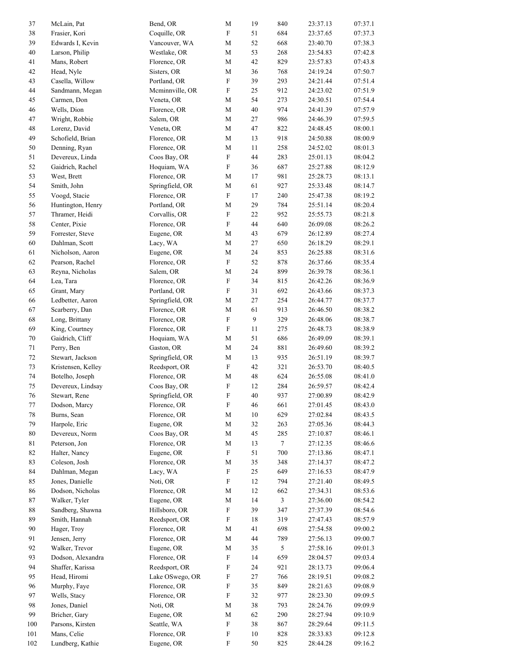| 37  | McLain, Pat        | Bend, OR        | $\mathbf M$               | 19     | 840             | 23:37.13 | 07:37.1 |
|-----|--------------------|-----------------|---------------------------|--------|-----------------|----------|---------|
| 38  | Frasier, Kori      | Coquille, OR    | $\boldsymbol{\mathrm{F}}$ | 51     | 684             | 23:37.65 | 07:37.3 |
| 39  | Edwards I, Kevin   | Vancouver, WA   | $\mathbf M$               | 52     | 668             | 23:40.70 | 07:38.3 |
| 40  | Larson, Philip     | Westlake, OR    | M                         | 53     | 268             | 23:54.83 | 07:42.8 |
| 41  | Mans, Robert       | Florence, OR    | $\mathbf M$               | 42     | 829             | 23:57.83 | 07:43.8 |
|     |                    |                 |                           |        |                 |          | 07:50.7 |
| 42  | Head, Nyle         | Sisters, OR     | М                         | 36     | 768             | 24:19.24 |         |
| 43  | Casella, Willow    | Portland, OR    | $\boldsymbol{\mathrm{F}}$ | 39     | 293             | 24:21.44 | 07:51.4 |
| 44  | Sandmann, Megan    | Mcminnville, OR | ${\bf F}$                 | 25     | 912             | 24:23.02 | 07:51.9 |
| 45  | Carmen, Don        | Veneta, OR      | $\mathbf M$               | 54     | 273             | 24:30.51 | 07:54.4 |
| 46  | Wells, Dion        | Florence, OR    | $\mathbf M$               | 40     | 974             | 24:41.39 | 07:57.9 |
| 47  | Wright, Robbie     | Salem, OR       | $\mathbf M$               | 27     | 986             | 24:46.39 | 07:59.5 |
| 48  | Lorenz, David      | Veneta, OR      | M                         | 47     | 822             | 24:48.45 | 08:00.1 |
| 49  | Schofield, Brian   | Florence, OR    | М                         | 13     | 918             | 24:50.88 | 08:00.9 |
| 50  | Denning, Ryan      | Florence, OR    | $\mathbf M$               | 11     | 258             | 24:52.02 | 08:01.3 |
| 51  | Devereux, Linda    | Coos Bay, OR    | $\boldsymbol{\mathrm{F}}$ | 44     | 283             | 25:01.13 | 08:04.2 |
| 52  | Gaidrich, Rachel   | Hoquiam, WA     | $\boldsymbol{\mathrm{F}}$ | 36     | 687             | 25:27.88 | 08:12.9 |
| 53  | West, Brett        | Florence, OR    | $\mathbf M$               | 17     | 981             | 25:28.73 | 08:13.1 |
|     |                    |                 |                           |        |                 |          |         |
| 54  | Smith, John        | Springfield, OR | М                         | 61     | 927             | 25:33.48 | 08:14.7 |
| 55  | Voogd, Stacie      | Florence, OR    | ${\rm F}$                 | 17     | 240             | 25:47.38 | 08:19.2 |
| 56  | Huntington, Henry  | Portland, OR    | $\mathbf M$               | 29     | 784             | 25:51.14 | 08:20.4 |
| 57  | Thramer, Heidi     | Corvallis, OR   | $\boldsymbol{\mathrm{F}}$ | $22\,$ | 952             | 25:55.73 | 08:21.8 |
| 58  | Center, Pixie      | Florence, OR    | ${\rm F}$                 | 44     | 640             | 26:09.08 | 08:26.2 |
| 59  | Forrester, Steve   | Eugene, OR      | $\mathbf M$               | 43     | 679             | 26:12.89 | 08:27.4 |
| 60  | Dahlman, Scott     | Lacy, WA        | $\mathbf M$               | 27     | 650             | 26:18.29 | 08:29.1 |
| 61  | Nicholson, Aaron   | Eugene, OR      | $\mathbf M$               | 24     | 853             | 26:25.88 | 08:31.6 |
| 62  | Pearson, Rachel    | Florence, OR    | ${\rm F}$                 | 52     | 878             | 26:37.66 | 08:35.4 |
| 63  | Reyna, Nicholas    | Salem, OR       | М                         | 24     | 899             | 26:39.78 | 08:36.1 |
| 64  |                    |                 | ${\rm F}$                 | 34     | 815             | 26:42.26 |         |
|     | Lea, Tara          | Florence, OR    |                           |        |                 |          | 08:36.9 |
| 65  | Grant, Mary        | Portland, OR    | $\boldsymbol{\mathrm{F}}$ | 31     | 692             | 26:43.66 | 08:37.3 |
| 66  | Ledbetter, Aaron   | Springfield, OR | $\mathbf M$               | 27     | 254             | 26:44.77 | 08:37.7 |
| 67  | Scarberry, Dan     | Florence, OR    | $\mathbf M$               | 61     | 913             | 26:46.50 | 08:38.2 |
| 68  | Long, Brittany     | Florence, OR    | $\boldsymbol{\mathrm{F}}$ | 9      | 329             | 26:48.06 | 08:38.7 |
| 69  | King, Courtney     | Florence, OR    | $\boldsymbol{\mathrm{F}}$ | $11\,$ | 275             | 26:48.73 | 08:38.9 |
| 70  | Gaidrich, Cliff    | Hoquiam, WA     | $\mathbf M$               | 51     | 686             | 26:49.09 | 08:39.1 |
| 71  | Perry, Ben         | Gaston, OR      | $\mathbf M$               | 24     | 881             | 26:49.60 | 08:39.2 |
| 72  | Stewart, Jackson   | Springfield, OR | $\mathbf M$               | 13     | 935             | 26:51.19 | 08:39.7 |
| 73  | Kristensen, Kelley | Reedsport, OR   | $\boldsymbol{\mathrm{F}}$ | 42     | 321             | 26:53.70 | 08:40.5 |
| 74  | Botelho, Joseph    | Florence, OR    | $\mathbf M$               | 48     | 624             | 26:55.08 | 08:41.0 |
| 75  | Devereux, Lindsay  | Coos Bay, OR    | $\boldsymbol{\mathrm{F}}$ | 12     | 284             | 26:59.57 | 08:42.4 |
| 76  | Stewart, Rene      | Springfield, OR | F                         | 40     | 937             | 27:00.89 | 08:42.9 |
|     |                    |                 |                           |        |                 |          |         |
| 77  | Dodson, Marcy      | Florence, OR    | $\mathbf F$               | 46     | 661             | 27:01.45 | 08:43.0 |
| 78  | Burns, Sean        | Florence, OR    | $\mathbf M$               | $10\,$ | 629             | 27:02.84 | 08:43.5 |
| 79  | Harpole, Eric      | Eugene, OR      | M                         | 32     | 263             | 27:05.36 | 08:44.3 |
| 80  | Devereux, Norm     | Coos Bay, OR    | $\mathbf M$               | 45     | 285             | 27:10.87 | 08:46.1 |
| 81  | Peterson, Jon      | Florence, OR    | М                         | 13     | $7\phantom{.0}$ | 27:12.35 | 08:46.6 |
| 82  | Halter, Nancy      | Eugene, OR      | $\boldsymbol{\mathrm{F}}$ | 51     | 700             | 27:13.86 | 08:47.1 |
| 83  | Coleson, Josh      | Florence, OR    | M                         | 35     | 348             | 27:14.37 | 08:47.2 |
| 84  | Dahlman, Megan     | Lacy, WA        | ${\bf F}$                 | 25     | 649             | 27:16.53 | 08:47.9 |
| 85  | Jones, Danielle    | Noti, OR        | ${\rm F}$                 | 12     | 794             | 27:21.40 | 08:49.5 |
| 86  | Dodson, Nicholas   | Florence, OR    | М                         | 12     | 662             | 27:34.31 | 08:53.6 |
| 87  | Walker, Tyler      | Eugene, OR      | М                         | 14     | $\mathfrak{Z}$  | 27:36.00 | 08:54.2 |
| 88  | Sandberg, Shawna   | Hillsboro, OR   | ${\bf F}$                 | 39     | 347             | 27:37.39 | 08:54.6 |
|     |                    |                 |                           |        |                 |          |         |
| 89  | Smith, Hannah      | Reedsport, OR   | F                         | 18     | 319             | 27:47.43 | 08:57.9 |
| 90  | Hager, Troy        | Florence, OR    | М                         | 41     | 698             | 27:54.58 | 09:00.2 |
| 91  | Jensen, Jerry      | Florence, OR    | $\mathbf M$               | 44     | 789             | 27:56.13 | 09:00.7 |
| 92  | Walker, Trevor     | Eugene, OR      | $\mathbf M$               | 35     | 5               | 27:58.16 | 09:01.3 |
| 93  | Dodson, Alexandra  | Florence, OR    | ${\rm F}$                 | 14     | 659             | 28:04.57 | 09:03.4 |
| 94  | Shaffer, Karissa   | Reedsport, OR   | $\mathbf F$               | 24     | 921             | 28:13.73 | 09:06.4 |
| 95  | Head, Hiromi       | Lake OSwego, OR | $\mathbf F$               | 27     | 766             | 28:19.51 | 09:08.2 |
| 96  | Murphy, Faye       | Florence, OR    | $\boldsymbol{\mathrm{F}}$ | 35     | 849             | 28:21.63 | 09:08.9 |
| 97  | Wells, Stacy       | Florence, OR    | $\boldsymbol{\mathrm{F}}$ | 32     | 977             | 28:23.30 | 09:09.5 |
| 98  | Jones, Daniel      | Noti, OR        | M                         | 38     | 793             | 28:24.76 | 09:09.9 |
| 99  | Bricher, Gary      | Eugene, OR      | $\mathbf M$               | 62     | 290             | 28:27.94 | 09:10.9 |
|     |                    |                 | $\boldsymbol{\mathrm{F}}$ |        |                 |          |         |
| 100 | Parsons, Kirsten   | Seattle, WA     |                           | 38     | 867             | 28:29.64 | 09:11.5 |
| 101 | Mans, Celie        | Florence, OR    | ${\bf F}$                 | $10\,$ | 828             | 28:33.83 | 09:12.8 |
| 102 | Lundberg, Kathie   | Eugene, OR      | $\boldsymbol{\mathrm{F}}$ | 50     | 825             | 28:44.28 | 09:16.2 |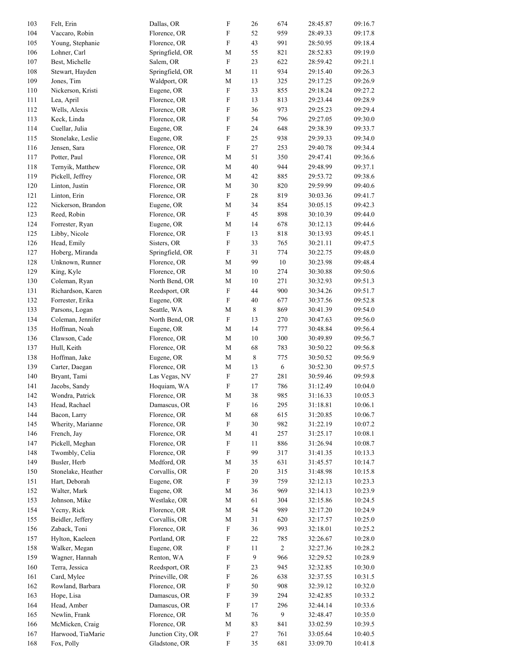| 103 | Felt, Erin         | Dallas, OR        | $\mathbf F$               | 26          | 674            | 28:45.87 | 09:16.7 |
|-----|--------------------|-------------------|---------------------------|-------------|----------------|----------|---------|
| 104 | Vaccaro, Robin     | Florence, OR      | $\boldsymbol{\mathrm{F}}$ | 52          | 959            | 28:49.33 | 09:17.8 |
| 105 | Young, Stephanie   | Florence, OR      | $\boldsymbol{\mathrm{F}}$ | 43          | 991            | 28:50.95 | 09:18.4 |
| 106 | Lohner, Carl       | Springfield, OR   | $\mathbf M$               | 55          | 821            | 28:52.83 | 09:19.0 |
| 107 | Best, Michelle     | Salem, OR         | $\boldsymbol{\mathrm{F}}$ | 23          | 622            | 28:59.42 | 09:21.1 |
| 108 | Stewart, Hayden    | Springfield, OR   | М                         | 11          | 934            | 29:15.40 | 09:26.3 |
| 109 | Jones, Tim         | Waldport, OR      | $\mathbf M$               | 13          | 325            | 29:17.25 | 09:26.9 |
| 110 | Nickerson, Kristi  | Eugene, OR        | $\boldsymbol{\mathrm{F}}$ | 33          | 855            | 29:18.24 | 09:27.2 |
| 111 | Lea, April         | Florence, OR      | $\boldsymbol{\mathrm{F}}$ | 13          | 813            | 29:23.44 | 09:28.9 |
| 112 | Wells, Alexis      | Florence, OR      | $\boldsymbol{\mathrm{F}}$ | 36          | 973            | 29:25.23 | 09:29.4 |
| 113 | Keck, Linda        | Florence, OR      | $\boldsymbol{\mathrm{F}}$ | 54          | 796            | 29:27.05 | 09:30.0 |
| 114 | Cuellar, Julia     | Eugene, OR        | $\boldsymbol{\mathrm{F}}$ | 24          | 648            | 29:38.39 | 09:33.7 |
| 115 | Stonelake, Leslie  | Eugene, OR        | $\boldsymbol{\mathrm{F}}$ | 25          | 938            | 29:39.33 | 09:34.0 |
| 116 | Jensen, Sara       | Florence, OR      | $\boldsymbol{\mathrm{F}}$ | $27\,$      | 253            | 29:40.78 | 09:34.4 |
| 117 | Potter, Paul       | Florence, OR      | $\mathbf M$               | 51          | 350            | 29:47.41 | 09:36.6 |
| 118 | Ternyik, Matthew   | Florence, OR      | $\mathbf M$               | $40\,$      | 944            | 29:48.99 | 09:37.1 |
| 119 | Pickell, Jeffrey   | Florence, OR      | $\mathbf M$               | 42          | 885            | 29:53.72 | 09:38.6 |
| 120 | Linton, Justin     | Florence, OR      | $\mathbf M$               | 30          | 820            | 29:59.99 | 09:40.6 |
| 121 | Linton, Erin       | Florence, OR      | $\boldsymbol{\mathrm{F}}$ | $28\,$      | 819            | 30:03.36 | 09:41.7 |
| 122 | Nickerson, Brandon | Eugene, OR        | $\mathbf M$               | 34          | 854            | 30:05.15 | 09:42.3 |
| 123 | Reed, Robin        | Florence, OR      | $\boldsymbol{\mathrm{F}}$ | 45          | 898            | 30:10.39 | 09:44.0 |
| 124 | Forrester, Ryan    | Eugene, OR        | $\mathbf M$               | 14          | 678            | 30:12.13 | 09:44.6 |
| 125 | Libby, Nicole      | Florence, OR      | $\boldsymbol{\mathrm{F}}$ | 13          | 818            | 30:13.93 | 09:45.1 |
| 126 | Head, Emily        | Sisters, OR       | $\boldsymbol{\mathrm{F}}$ | 33          | 765            | 30:21.11 | 09:47.5 |
| 127 | Hoberg, Miranda    | Springfield, OR   | $\boldsymbol{\mathrm{F}}$ | 31          | 774            | 30:22.75 | 09:48.0 |
| 128 | Unknown, Runner    | Florence, OR      | $\mathbf M$               | 99          | $10\,$         | 30:23.98 | 09:48.4 |
| 129 | King, Kyle         | Florence, OR      | $\mathbf M$               | 10          | 274            | 30:30.88 | 09:50.6 |
| 130 | Coleman, Ryan      | North Bend, OR    | М                         | 10          | 271            | 30:32.93 | 09:51.3 |
| 131 | Richardson, Karen  | Reedsport, OR     | $\boldsymbol{\mathrm{F}}$ | 44          | 900            | 30:34.26 | 09:51.7 |
| 132 | Forrester, Erika   | Eugene, OR        | $\boldsymbol{\mathrm{F}}$ | 40          | 677            | 30:37.56 | 09:52.8 |
| 133 | Parsons, Logan     | Seattle, WA       | $\mathbf M$               | $\,$ 8 $\,$ | 869            | 30:41.39 | 09:54.0 |
| 134 | Coleman, Jennifer  | North Bend, OR    | $\boldsymbol{\mathrm{F}}$ | 13          | 270            | 30:47.63 | 09:56.0 |
| 135 | Hoffman, Noah      | Eugene, OR        | $\mathbf M$               | 14          | 777            | 30:48.84 | 09:56.4 |
| 136 | Clawson, Cade      | Florence, OR      | $\mathbf M$               | 10          | 300            | 30:49.89 | 09:56.7 |
| 137 | Hull, Keith        | Florence, OR      | $\mathbf M$               | 68          | 783            | 30:50.22 | 09:56.8 |
| 138 | Hoffman, Jake      | Eugene, OR        | $\mathbf M$               | $\,$ 8 $\,$ | 775            | 30:50.52 | 09:56.9 |
| 139 | Carter, Daegan     | Florence, OR      | $\mathbf M$               | 13          | 6              | 30:52.30 | 09:57.5 |
| 140 | Bryant, Tami       | Las Vegas, NV     | ${\bf F}$                 | 27          | 281            | 30:59.46 | 09:59.8 |
| 141 | Jacobs, Sandy      | Hoquiam, WA       | $\boldsymbol{\mathrm{F}}$ | 17          | 786            | 31:12.49 | 10:04.0 |
| 142 | Wondra, Patrick    | Florence, OR      | М                         | 38          | 985            | 31:16.33 | 10:05.3 |
| 143 | Head, Rachael      | Damascus, OR      | $\mathbf F$               | 16          | 295            | 31:18.81 | 10:06.1 |
| 144 | Bacon, Larry       | Florence, OR      | $\mathbf M$               | 68          | 615            | 31:20.85 | 10:06.7 |
| 145 | Wherity, Marianne  | Florence, OR      | $\boldsymbol{\mathrm{F}}$ | 30          | 982            | 31:22.19 | 10:07.2 |
| 146 | French, Jay        | Florence, OR      | M                         | 41          | 257            | 31:25.17 | 10:08.1 |
| 147 | Pickell, Meghan    | Florence, OR      | $\boldsymbol{\mathrm{F}}$ | 11          | 886            | 31:26.94 | 10:08.7 |
| 148 | Twombly, Celia     | Florence, OR      | $\boldsymbol{\mathrm{F}}$ | 99          | 317            | 31:41.35 | 10:13.3 |
| 149 | Busler, Herb       | Medford, OR       | $\mathbf M$               | 35          | 631            | 31:45.57 | 10:14.7 |
| 150 | Stonelake, Heather | Corvallis, OR     | ${\bf F}$                 | 20          | 315            | 31:48.98 | 10:15.8 |
| 151 | Hart, Deborah      | Eugene, OR        | ${\bf F}$                 | 39          | 759            | 32:12.13 | 10:23.3 |
| 152 | Walter, Mark       | Eugene, OR        | М                         | 36          | 969            | 32:14.13 | 10:23.9 |
| 153 | Johnson, Mike      | Westlake, OR      | $\mathbf M$               | 61          | 304            | 32:15.86 | 10:24.5 |
| 154 | Yecny, Rick        | Florence, OR      | M                         | 54          | 989            | 32:17.20 | 10:24.9 |
| 155 | Beidler, Jeffery   | Corvallis, OR     | М                         | 31          | 620            | 32:17.57 | 10:25.0 |
| 156 | Zaback, Toni       | Florence, OR      | $\boldsymbol{\mathrm{F}}$ | 36          | 993            | 32:18.01 | 10:25.2 |
| 157 | Hylton, Kaeleen    | Portland, OR      | $\boldsymbol{\mathrm{F}}$ | $22\,$      | 785            | 32:26.67 | 10:28.0 |
| 158 | Walker, Megan      | Eugene, OR        | ${\bf F}$                 | 11          | $\overline{c}$ | 32:27.36 | 10:28.2 |
| 159 | Wagner, Hannah     | Renton, WA        | $\boldsymbol{\mathrm{F}}$ | 9           | 966            | 32:29.52 | 10:28.9 |
| 160 | Terra, Jessica     | Reedsport, OR     | $\boldsymbol{\mathrm{F}}$ | 23          | 945            | 32:32.85 | 10:30.0 |
| 161 | Card, Mylee        | Prineville, OR    | ${\bf F}$                 | 26          | 638            | 32:37.55 | 10:31.5 |
| 162 | Rowland, Barbara   | Florence, OR      | $\boldsymbol{\mathrm{F}}$ | 50          | 908            | 32:39.12 | 10:32.0 |
| 163 | Hope, Lisa         | Damascus, OR      | $\boldsymbol{\mathrm{F}}$ | 39          | 294            | 32:42.85 | 10:33.2 |
| 164 | Head, Amber        | Damascus, OR      | $\boldsymbol{\mathrm{F}}$ | 17          | 296            | 32:44.14 | 10:33.6 |
| 165 | Newlin, Frank      | Florence, OR      | $\mathbf M$               | 76          | 9              | 32:48.47 | 10:35.0 |
| 166 | McMicken, Craig    | Florence, OR      | $\mathbf M$               | 83          | 841            | 33:02.59 | 10:39.5 |
| 167 | Harwood, TiaMarie  | Junction City, OR | ${\bf F}$                 | 27          | 761            | 33:05.64 | 10:40.5 |
| 168 | Fox, Polly         | Gladstone, OR     | F                         | 35          | 681            | 33:09.70 | 10:41.8 |
|     |                    |                   |                           |             |                |          |         |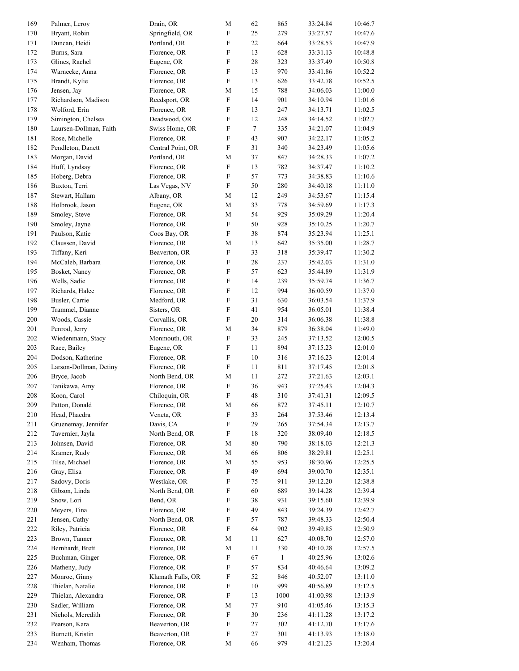| 169     | Palmer, Leroy          | Drain, OR         | $\mathbf M$               | 62               | 865          | 33:24.84 | 10:46.7 |
|---------|------------------------|-------------------|---------------------------|------------------|--------------|----------|---------|
| 170     | Bryant, Robin          | Springfield, OR   | $\boldsymbol{\mathrm{F}}$ | 25               | 279          | 33:27.57 | 10:47.6 |
| 171     | Duncan, Heidi          | Portland, OR      | ${\rm F}$                 | 22               | 664          | 33:28.53 | 10:47.9 |
| 172     | Burns, Sara            | Florence, OR      | $\boldsymbol{\mathrm{F}}$ | 13               | 628          | 33:31.13 | 10:48.8 |
| 173     | Glines, Rachel         | Eugene, OR        | $\rm F$                   | $28\,$           | 323          | 33:37.49 | 10:50.8 |
| 174     | Warnecke, Anna         | Florence, OR      | $\mathbf F$               | 13               | 970          | 33:41.86 | 10:52.2 |
| 175     | Brandt, Kylie          | Florence, OR      | ${\rm F}$                 | 13               | 626          | 33:42.78 | 10:52.5 |
| 176     | Jensen, Jay            | Florence, OR      | $\mathbf M$               | 15               | 788          | 34:06.03 | 11:00.0 |
| 177     | Richardson, Madison    | Reedsport, OR     | $\boldsymbol{\mathrm{F}}$ | 14               | 901          | 34:10.94 | 11:01.6 |
| 178     | Wolford, Erin          | Florence, OR      | $\boldsymbol{\mathrm{F}}$ | 13               | 247          | 34:13.71 | 11:02.5 |
| 179     | Simington, Chelsea     | Deadwood, OR      | $\boldsymbol{\mathrm{F}}$ | 12               | 248          | 34:14.52 | 11:02.7 |
| 180     | Laursen-Dollman, Faith | Swiss Home, OR    | ${\rm F}$                 | $\boldsymbol{7}$ | 335          | 34:21.07 | 11:04.9 |
| 181     | Rose, Michelle         | Florence, OR      | $\boldsymbol{\mathrm{F}}$ | 43               | 907          | 34:22.17 | 11:05.2 |
| 182     | Pendleton, Danett      | Central Point, OR | $\mathbf F$               | 31               | 340          | 34:23.49 | 11:05.6 |
| 183     | Morgan, David          | Portland, OR      | $\mathbf M$               | 37               | 847          | 34:28.33 | 11:07.2 |
| 184     | Huff, Lyndsay          | Florence, OR      | $\boldsymbol{\mathrm{F}}$ | 13               | 782          | 34:37.47 | 11:10.2 |
| 185     | Hoberg, Debra          | Florence, OR      | ${\rm F}$                 | 57               | 773          | 34:38.83 | 11:10.6 |
| 186     | Buxton, Terri          | Las Vegas, NV     | $\boldsymbol{\mathrm{F}}$ | 50               | 280          | 34:40.18 | 11:11.0 |
| 187     | Stewart, Hallam        | Albany, OR        | $\mathbf M$               | 12               | 249          | 34:53.67 | 11:15.4 |
| 188     | Holbrook, Jason        | Eugene, OR        | $\mathbf M$               | 33               | 778          | 34:59.69 | 11:17.3 |
| 189     | Smoley, Steve          | Florence, OR      | $\mathbf M$               | 54               | 929          | 35:09.29 | 11:20.4 |
| 190     | Smoley, Jayne          | Florence, OR      | $\boldsymbol{\mathrm{F}}$ | 50               | 928          | 35:10.25 | 11:20.7 |
| 191     | Paulson, Katie         | Coos Bay, OR      | ${\rm F}$                 | 38               | 874          | 35:23.94 | 11:25.1 |
| 192     | Claussen, David        | Florence, OR      | $\mathbf M$               | 13               | 642          | 35:35.00 | 11:28.7 |
| 193     | Tiffany, Keri          | Beaverton, OR     | $\boldsymbol{\mathrm{F}}$ | 33               | 318          | 35:39.47 | 11:30.2 |
| 194     | McCaleb, Barbara       |                   | $\boldsymbol{\mathrm{F}}$ | 28               | 237          |          | 11:31.0 |
|         |                        | Florence, OR      | $\rm F$                   |                  |              | 35:42.03 |         |
| 195     | Bosket, Nancy          | Florence, OR      |                           | 57               | 623          | 35:44.89 | 11:31.9 |
| 196     | Wells, Sadie           | Florence, OR      | $\mathbf F$               | 14               | 239          | 35:59.74 | 11:36.7 |
| 197     | Richards, Halee        | Florence, OR      | $\rm F$                   | 12               | 994          | 36:00.59 | 11:37.0 |
| 198     | Busler, Carrie         | Medford, OR       | $\boldsymbol{\mathrm{F}}$ | 31               | 630          | 36:03.54 | 11:37.9 |
| 199     | Trammel, Dianne        | Sisters, OR       | ${\rm F}$                 | 41               | 954          | 36:05.01 | 11:38.4 |
| 200     | Woods, Cassie          | Corvallis, OR     | $\boldsymbol{\mathrm{F}}$ | 20               | 314          | 36:06.38 | 11:38.8 |
| 201     | Penrod, Jerry          | Florence, OR      | $\mathbf M$               | 34               | 879          | 36:38.04 | 11:49.0 |
| 202     | Wiedenmann, Stacy      | Monmouth, OR      | $\boldsymbol{\mathrm{F}}$ | 33               | 245          | 37:13.52 | 12:00.5 |
| 203     | Race, Bailey           | Eugene, OR        | $\boldsymbol{\mathrm{F}}$ | 11               | 894          | 37:15.23 | 12:01.0 |
| 204     | Dodson, Katherine      | Florence, OR      | F                         | 10               | 316          | 37:16.23 | 12:01.4 |
| $205\,$ | Larson-Dollman, Detiny | Florence, OR      | ${\rm F}$                 | 11               | 811          | 37:17.45 | 12:01.8 |
| 206     | Bryce, Jacob           | North Bend, OR    | $\mathbf M$               | 11               | 272          | 37:21.63 | 12:03.1 |
| 207     | Tanikawa, Amy          | Florence, OR      | $\boldsymbol{\mathrm{F}}$ | 36               | 943          | 37:25.43 | 12:04.3 |
| 208     | Koon, Carol            | Chiloquin, OR     | $\boldsymbol{\mathrm{F}}$ | 48               | 310          | 37:41.31 | 12:09.5 |
| 209     | Patton, Donald         | Florence, OR      | $\mathbf M$               | 66               | 872          | 37:45.11 | 12:10.7 |
| 210     | Head, Phaedra          | Veneta, OR        | $\mathbf F$               | 33               | 264          | 37:53.46 | 12:13.4 |
| 211     | Gruenemay, Jennifer    | Davis, CA         | $\boldsymbol{\mathrm{F}}$ | 29               | 265          | 37:54.34 | 12:13.7 |
| 212     | Tavernier, Jayla       | North Bend, OR    | F                         | 18               | 320          | 38:09.40 | 12:18.5 |
| 213     | Johnsen, David         | Florence, OR      | M                         | $80\,$           | 790          | 38:18.03 | 12:21.3 |
| 214     | Kramer, Rudy           | Florence, OR      | $\mathbf M$               | 66               | 806          | 38:29.81 | 12:25.1 |
| 215     | Tilse, Michael         | Florence, OR      | $\mathbf M$               | 55               | 953          | 38:30.96 | 12:25.5 |
| 216     | Gray, Elisa            | Florence, OR      | $\boldsymbol{\mathrm{F}}$ | 49               | 694          | 39:00.70 | 12:35.1 |
| 217     | Sadovy, Doris          | Westlake, OR      | $\boldsymbol{\mathrm{F}}$ | 75               | 911          | 39:12.20 | 12:38.8 |
| 218     | Gibson, Linda          | North Bend, OR    | F                         | 60               | 689          | 39:14.28 | 12:39.4 |
| 219     | Snow, Lori             | Bend, OR          | $\boldsymbol{\mathrm{F}}$ | 38               | 931          | 39:15.60 | 12:39.9 |
| 220     | Meyers, Tina           | Florence, OR      | F                         | 49               | 843          | 39:24.39 | 12:42.7 |
| 221     | Jensen, Cathy          | North Bend, OR    | F                         | 57               | 787          | 39:48.33 | 12:50.4 |
| 222     | Riley, Patricia        | Florence, OR      | $\boldsymbol{\mathrm{F}}$ | 64               | 902          | 39:49.85 | 12:50.9 |
| 223     | Brown, Tanner          | Florence, OR      | $\mathbf M$               | 11               | 627          | 40:08.70 | 12:57.0 |
| 224     | Bernhardt, Brett       | Florence, OR      | $\mathbf M$               | 11               | 330          | 40:10.28 | 12:57.5 |
| 225     | Buchman, Ginger        | Florence, OR      | $\boldsymbol{\mathrm{F}}$ | 67               | $\mathbf{1}$ | 40:25.96 | 13:02.6 |
| 226     | Matheny, Judy          | Florence, OR      | F                         | 57               | 834          | 40:46.64 | 13:09.2 |
| 227     | Monroe, Ginny          | Klamath Falls, OR | F                         | 52               | 846          | 40:52.07 | 13:11.0 |
| 228     | Thielan, Natalie       | Florence, OR      | $\boldsymbol{\mathrm{F}}$ | $10\,$           | 999          | 40:56.89 | 13:12.5 |
| 229     | Thielan, Alexandra     | Florence, OR      | $\boldsymbol{\mathrm{F}}$ | 13               | 1000         | 41:00.98 | 13:13.9 |
| 230     | Sadler, William        | Florence, OR      | M                         | 77               | 910          | 41:05.46 | 13:15.3 |
| 231     | Nichols, Meredith      | Florence, OR      | $\mathbf F$               | $30\,$           | 236          | 41:11.28 | 13:17.2 |
| 232     | Pearson, Kara          | Beaverton, OR     | $\boldsymbol{\mathrm{F}}$ | 27               | 302          | 41:12.70 | 13:17.6 |
| 233     | Burnett, Kristin       | Beaverton, OR     | $\mathbf F$               | 27               | 301          | 41:13.93 | 13:18.0 |
| 234     | Wenham, Thomas         | Florence, OR      | $\mathbf M$               | 66               | 979          | 41:21.23 | 13:20.4 |
|         |                        |                   |                           |                  |              |          |         |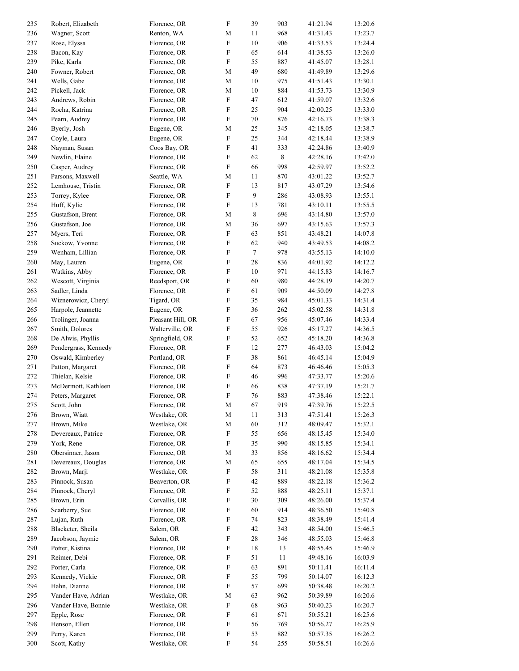| 235 | Robert, Elizabeth    | Florence, OR      | $\mathbf F$               | 39               | 903         | 41:21.94 | 13:20.6 |
|-----|----------------------|-------------------|---------------------------|------------------|-------------|----------|---------|
| 236 | Wagner, Scott        | Renton, WA        | $\mathbf M$               | 11               | 968         | 41:31.43 | 13:23.7 |
|     |                      |                   |                           |                  |             |          |         |
| 237 | Rose, Elyssa         | Florence, OR      | $\boldsymbol{\mathrm{F}}$ | 10               | 906         | 41:33.53 | 13:24.4 |
| 238 | Bacon, Kay           | Florence, OR      | $\mathbf F$               | 65               | 614         | 41:38.53 | 13:26.0 |
| 239 | Pike, Karla          | Florence, OR      | $\boldsymbol{\mathrm{F}}$ | 55               | 887         | 41:45.07 | 13:28.1 |
| 240 | Fowner, Robert       | Florence, OR      | $\mathbf M$               | 49               | 680         | 41:49.89 | 13:29.6 |
| 241 | Wells, Gabe          | Florence, OR      | $\mathbf M$               | 10               | 975         | 41:51.43 | 13:30.1 |
| 242 | Pickell, Jack        | Florence, OR      | $\mathbf M$               | $10\,$           | 884         | 41:53.73 | 13:30.9 |
| 243 | Andrews, Robin       | Florence, OR      | $\boldsymbol{\mathrm{F}}$ | 47               | 612         | 41:59.07 | 13:32.6 |
|     |                      |                   |                           |                  |             |          |         |
| 244 | Rocha, Katrina       | Florence, OR      | $\boldsymbol{\mathrm{F}}$ | 25               | 904         | 42:00.25 | 13:33.0 |
| 245 | Pearn, Audrey        | Florence, OR      | $\boldsymbol{\mathrm{F}}$ | $70\,$           | 876         | 42:16.73 | 13:38.3 |
| 246 | Byerly, Josh         | Eugene, OR        | $\mathbf M$               | 25               | 345         | 42:18.05 | 13:38.7 |
| 247 | Coyle, Laura         | Eugene, OR        | $\boldsymbol{\mathrm{F}}$ | 25               | 344         | 42:18.44 | 13:38.9 |
| 248 | Nayman, Susan        | Coos Bay, OR      | F                         | 41               | 333         | 42:24.86 | 13:40.9 |
| 249 | Newlin, Elaine       | Florence, OR      | $\mathbf F$               | 62               | $\,$ 8 $\,$ | 42:28.16 | 13:42.0 |
|     |                      |                   | $\mathbf F$               | 66               | 998         |          |         |
| 250 | Casper, Audrey       | Florence, OR      |                           |                  |             | 42:59.97 | 13:52.2 |
| 251 | Parsons, Maxwell     | Seattle, WA       | $\mathbf M$               | $11\,$           | 870         | 43:01.22 | 13:52.7 |
| 252 | Lemhouse, Tristin    | Florence, OR      | ${\rm F}$                 | 13               | 817         | 43:07.29 | 13:54.6 |
| 253 | Torrey, Kylee        | Florence, OR      | $\boldsymbol{\mathrm{F}}$ | $\boldsymbol{9}$ | 286         | 43:08.93 | 13:55.1 |
| 254 | Huff, Kylie          | Florence, OR      | ${\bf F}$                 | 13               | 781         | 43:10.11 | 13:55.5 |
| 255 | Gustafson, Brent     | Florence, OR      | $\mathbf M$               | $\,$ 8 $\,$      | 696         | 43:14.80 | 13:57.0 |
| 256 | Gustafson, Joe       | Florence, OR      | $\mathbf M$               | 36               | 697         | 43:15.63 | 13:57.3 |
|     |                      |                   |                           |                  |             |          |         |
| 257 | Myers, Teri          | Florence, OR      | ${\bf F}$                 | 63               | 851         | 43:48.21 | 14:07.8 |
| 258 | Suckow, Yvonne       | Florence, OR      | $\boldsymbol{\mathrm{F}}$ | 62               | 940         | 43:49.53 | 14:08.2 |
| 259 | Wenham, Lillian      | Florence, OR      | $\boldsymbol{\mathrm{F}}$ | $\boldsymbol{7}$ | 978         | 43:55.13 | 14:10.0 |
| 260 | May, Lauren          | Eugene, OR        | $\boldsymbol{\mathrm{F}}$ | 28               | 836         | 44:01.92 | 14:12.2 |
| 261 | Watkins, Abby        | Florence, OR      | $\boldsymbol{\mathrm{F}}$ | 10               | 971         | 44:15.83 | 14:16.7 |
| 262 | Wescott, Virginia    | Reedsport, OR     | ${\rm F}$                 | 60               | 980         | 44:28.19 | 14:20.7 |
| 263 | Sadler, Linda        | Florence, OR      | $\boldsymbol{\mathrm{F}}$ | 61               | 909         | 44:50.09 | 14:27.8 |
|     |                      |                   |                           |                  |             |          |         |
| 264 | Wiznerowicz, Cheryl  | Tigard, OR        | $\boldsymbol{\mathrm{F}}$ | 35               | 984         | 45:01.33 | 14:31.4 |
| 265 | Harpole, Jeannette   | Eugene, OR        | ${\bf F}$                 | 36               | 262         | 45:02.58 | 14:31.8 |
| 266 | Trolinger, Joanna    | Pleasant Hill, OR | $\mathbf F$               | 67               | 956         | 45:07.46 | 14:33.4 |
| 267 | Smith, Dolores       | Walterville, OR   | $\boldsymbol{\mathrm{F}}$ | 55               | 926         | 45:17.27 | 14:36.5 |
| 268 | De Alwis, Phyllis    | Springfield, OR   | $\boldsymbol{\mathrm{F}}$ | 52               | 652         | 45:18.20 | 14:36.8 |
| 269 | Pendergrass, Kennedy | Florence, OR      | $\boldsymbol{\mathrm{F}}$ | 12               | 277         | 46:43.03 | 15:04.2 |
| 270 | Oswald, Kimberley    | Portland, OR      | ${\bf F}$                 | 38               | 861         | 46:45.14 | 15:04.9 |
|     |                      |                   |                           |                  |             |          |         |
| 271 | Patton, Margaret     | Florence, OR      | $\mathbf F$               | 64               | 873         | 46:46.46 | 15:05.3 |
| 272 | Thielan, Kelsie      | Florence, OR      | $\mathbf F$               | 46               | 996         | 47:33.77 | 15:20.6 |
| 273 | McDermott, Kathleen  | Florence, OR      | $\boldsymbol{\mathrm{F}}$ | 66               | 838         | 47:37.19 | 15:21.7 |
| 274 | Peters, Margaret     | Florence, OR      | F                         | 76               | 883         | 47:38.46 | 15:22.1 |
| 275 | Scott, John          | Florence, OR      | $\mathbf M$               | 67               | 919         | 47:39.76 | 15:22.5 |
| 276 | Brown, Wiatt         | Westlake, OR      | $\mathbf M$               | 11               | 313         | 47:51.41 | 15:26.3 |
| 277 | Brown, Mike          | Westlake, OR      | $\mathbf M$               | 60               | 312         | 48:09.47 | 15:32.1 |
| 278 | Devereaux, Patrice   | Florence, OR      | $\mathbf F$               | 55               | 656         | 48:15.45 | 15:34.0 |
|     |                      |                   |                           |                  |             |          |         |
| 279 | York, Rene           | Florence, OR      | $\boldsymbol{\mathrm{F}}$ | 35               | 990         | 48:15.85 | 15:34.1 |
| 280 | Obersinner, Jason    | Florence, OR      | M                         | 33               | 856         | 48:16.62 | 15:34.4 |
| 281 | Devereaux, Douglas   | Florence, OR      | $\mathbf M$               | 65               | 655         | 48:17.04 | 15:34.5 |
| 282 | Brown, Marji         | Westlake, OR      | $\boldsymbol{\mathrm{F}}$ | 58               | 311         | 48:21.08 | 15:35.8 |
| 283 | Pinnock, Susan       | Beaverton, OR     | $\boldsymbol{\mathrm{F}}$ | 42               | 889         | 48:22.18 | 15:36.2 |
| 284 | Pinnock, Cheryl      | Florence, OR      | $\boldsymbol{\mathrm{F}}$ | 52               | 888         | 48:25.11 | 15:37.1 |
| 285 | Brown, Erin          | Corvallis, OR     | ${\bf F}$                 | 30               | 309         | 48:26.00 | 15:37.4 |
|     |                      |                   |                           |                  |             |          |         |
| 286 | Scarberry, Sue       | Florence, OR      | $\boldsymbol{\mathrm{F}}$ | 60               | 914         | 48:36.50 | 15:40.8 |
| 287 | Lujan, Ruth          | Florence, OR      | $\boldsymbol{\mathrm{F}}$ | 74               | 823         | 48:38.49 | 15:41.4 |
| 288 | Blacketer, Sheila    | Salem, OR         | $\boldsymbol{\mathrm{F}}$ | 42               | 343         | 48:54.00 | 15:46.5 |
| 289 | Jacobson, Jaymie     | Salem, OR         | $\boldsymbol{\mathrm{F}}$ | 28               | 346         | 48:55.03 | 15:46.8 |
| 290 | Potter, Kistina      | Florence, OR      | $\boldsymbol{\mathrm{F}}$ | 18               | 13          | 48:55.45 | 15:46.9 |
| 291 | Reimer, Debi         | Florence, OR      | $\boldsymbol{\mathrm{F}}$ | 51               | 11          | 49:48.16 | 16:03.9 |
| 292 | Porter, Carla        | Florence, OR      | $\mathbf F$               | 63               | 891         | 50:11.41 | 16:11.4 |
|     |                      |                   |                           |                  |             |          |         |
| 293 | Kennedy, Vickie      | Florence, OR      | $\mathbf F$               | 55               | 799         | 50:14.07 | 16:12.3 |
| 294 | Hahn, Dianne         | Florence, OR      | $\boldsymbol{\mathrm{F}}$ | 57               | 699         | 50:38.48 | 16:20.2 |
| 295 | Vander Have, Adrian  | Westlake, OR      | M                         | 63               | 962         | 50:39.89 | 16:20.6 |
| 296 | Vander Have, Bonnie  | Westlake, OR      | F                         | 68               | 963         | 50:40.23 | 16:20.7 |
| 297 | Epple, Rose          | Florence, OR      | F                         | 61               | 671         | 50:55.21 | 16:25.6 |
| 298 | Henson, Ellen        | Florence, OR      | $\boldsymbol{\mathrm{F}}$ | 56               | 769         | 50:56.27 | 16:25.9 |
| 299 | Perry, Karen         | Florence, OR      | $\mathbf F$               | 53               | 882         | 50:57.35 | 16:26.2 |
|     |                      |                   |                           |                  |             |          |         |
| 300 | Scott, Kathy         | Westlake, OR      | $\mathbf F$               | 54               | 255         | 50:58.51 | 16:26.6 |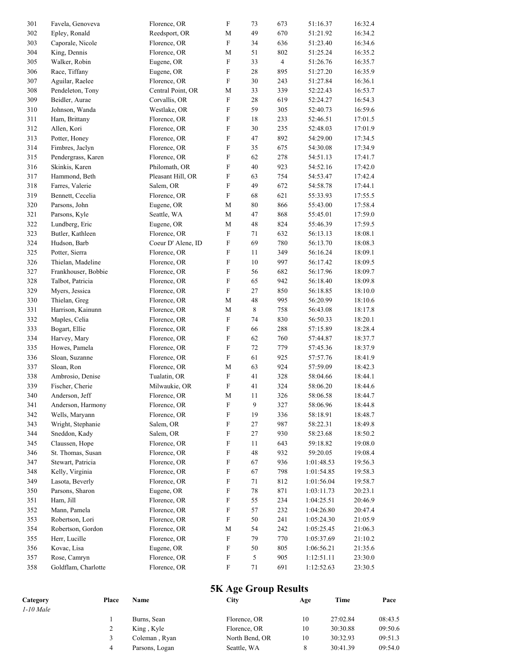| 301 | Favela, Genoveva    | Florence, OR       | $\boldsymbol{\mathrm{F}}$ | 73               | 673            | 51:16.37   | 16:32.4 |
|-----|---------------------|--------------------|---------------------------|------------------|----------------|------------|---------|
| 302 | Epley, Ronald       | Reedsport, OR      | М                         | 49               | 670            | 51:21.92   | 16:34.2 |
| 303 | Caporale, Nicole    | Florence, OR       | ${\rm F}$                 | 34               | 636            | 51:23.40   | 16:34.6 |
| 304 | King, Dennis        | Florence, OR       | $\mathbf M$               | 51               | 802            | 51:25.24   | 16:35.2 |
| 305 | Walker, Robin       | Eugene, OR         | $\boldsymbol{\mathrm{F}}$ | 33               | $\overline{4}$ | 51:26.76   | 16:35.7 |
| 306 | Race, Tiffany       | Eugene, OR         | $\boldsymbol{\mathrm{F}}$ | 28               | 895            | 51:27.20   | 16:35.9 |
| 307 | Aguilar, Raelee     | Florence, OR       | ${\rm F}$                 | $30\,$           | 243            | 51:27.84   | 16:36.1 |
| 308 | Pendeleton, Tony    | Central Point, OR  | $\mathbf M$               | 33               | 339            | 52:22.43   | 16:53.7 |
| 309 | Beidler, Aurae      | Corvallis, OR      | $\boldsymbol{\mathrm{F}}$ | $28\,$           | 619            | 52:24.27   | 16:54.3 |
| 310 | Johnson, Wanda      | Westlake, OR       | $\boldsymbol{\mathrm{F}}$ | 59               | 305            | 52:40.73   | 16:59.6 |
| 311 | Ham, Brittany       | Florence, OR       | $\boldsymbol{\mathrm{F}}$ | 18               | 233            | 52:46.51   | 17:01.5 |
| 312 | Allen, Kori         | Florence, OR       | F                         | $30\,$           | 235            | 52:48.03   | 17:01.9 |
| 313 | Potter, Honey       | Florence, OR       | $\boldsymbol{\mathrm{F}}$ | 47               | 892            | 54:29.00   | 17:34.5 |
| 314 | Fimbres, Jaclyn     | Florence, OR       | F                         | 35               | 675            | 54:30.08   | 17:34.9 |
| 315 | Pendergrass, Karen  | Florence, OR       | $\boldsymbol{\mathrm{F}}$ | 62               | 278            | 54:51.13   | 17:41.7 |
| 316 | Skinkis, Karen      | Philomath, OR      | $\boldsymbol{\mathrm{F}}$ | $40\,$           | 923            | 54:52.16   | 17:42.0 |
| 317 | Hammond, Beth       | Pleasant Hill, OR  | $\boldsymbol{\mathrm{F}}$ | 63               | 754            | 54:53.47   | 17:42.4 |
| 318 | Farres, Valerie     | Salem, OR          | $\boldsymbol{\mathrm{F}}$ | 49               | 672            | 54:58.78   | 17:44.1 |
| 319 | Bennett, Cecelia    | Florence, OR       | $\boldsymbol{\mathrm{F}}$ | 68               | 621            | 55:33.93   | 17:55.5 |
| 320 | Parsons, John       | Eugene, OR         | $\mathbf M$               | 80               | 866            | 55:43.00   | 17:58.4 |
| 321 | Parsons, Kyle       | Seattle, WA        | $\mathbf M$               | 47               | 868            | 55:45.01   | 17:59.0 |
| 322 | Lundberg, Eric      | Eugene, OR         | $\mathbf M$               | 48               | 824            | 55:46.39   | 17:59.5 |
| 323 | Butler, Kathleen    | Florence, OR       | ${\rm F}$                 | 71               | 632            | 56:13.13   | 18:08.1 |
| 324 | Hudson, Barb        | Coeur D' Alene, ID | $\boldsymbol{\mathrm{F}}$ | 69               | 780            | 56:13.70   | 18:08.3 |
| 325 | Potter, Sierra      | Florence, OR       | ${\rm F}$                 | 11               | 349            | 56:16.24   | 18:09.1 |
| 326 | Thielan, Madeline   | Florence, OR       | ${\rm F}$                 | 10               | 997            | 56:17.42   | 18:09.5 |
| 327 | Frankhouser, Bobbie | Florence, OR       | $\boldsymbol{\mathrm{F}}$ | 56               | 682            | 56:17.96   | 18:09.7 |
| 328 | Talbot, Patricia    | Florence, OR       | ${\rm F}$                 | 65               | 942            | 56:18.40   | 18:09.8 |
| 329 | Myers, Jessica      | Florence, OR       | $\boldsymbol{\mathrm{F}}$ | $27\,$           | 850            | 56:18.85   | 18:10.0 |
| 330 | Thielan, Greg       | Florence, OR       | $\mathbf M$               | 48               | 995            | 56:20.99   | 18:10.6 |
| 331 | Harrison, Kainunn   | Florence, OR       | $\mathbf M$               | $\,$ 8 $\,$      | 758            | 56:43.08   | 18:17.8 |
| 332 | Maples, Celia       | Florence, OR       | $\boldsymbol{\mathrm{F}}$ | 74               | 830            | 56:50.33   | 18:20.1 |
| 333 | Bogart, Ellie       | Florence, OR       | $\boldsymbol{\mathrm{F}}$ | 66               | 288            | 57:15.89   | 18:28.4 |
| 334 | Harvey, Mary        | Florence, OR       | $\boldsymbol{\mathrm{F}}$ | 62               | 760            | 57:44.87   | 18:37.7 |
| 335 | Howes, Pamela       | Florence, OR       | $\boldsymbol{\mathrm{F}}$ | 72               | 779            | 57:45.36   | 18:37.9 |
| 336 | Sloan, Suzanne      | Florence, OR       | ${\rm F}$                 | 61               | 925            | 57:57.76   | 18:41.9 |
| 337 | Sloan, Ron          | Florence, OR       | $\mathbf M$               | 63               | 924            | 57:59.09   | 18:42.3 |
| 338 | Ambrosio, Denise    | Tualatin, OR       | ${\rm F}$                 | 41               | 328            | 58:04.66   | 18:44.1 |
| 339 | Fischer, Cherie     | Milwaukie, OR      | $\boldsymbol{\mathrm{F}}$ | 41               | 324            | 58:06.20   | 18:44.6 |
| 340 | Anderson, Jeff      | Florence, OR       | М                         | 11               | 326            | 58:06.58   | 18:44.7 |
| 341 | Anderson, Harmony   | Florence, OR       | $\boldsymbol{\mathrm{F}}$ | $\boldsymbol{9}$ | 327            | 58:06.96   | 18:44.8 |
| 342 | Wells, Maryann      | Florence, OR       | $\boldsymbol{\mathrm{F}}$ | 19               | 336            | 58:18.91   | 18:48.7 |
| 343 | Wright, Stephanie   | Salem, OR          | $\boldsymbol{\mathrm{F}}$ | 27               | 987            | 58:22.31   | 18:49.8 |
| 344 | Sneddon, Kady       | Salem, OR          | $\boldsymbol{\mathrm{F}}$ | 27               | 930            | 58:23.68   | 18:50.2 |
| 345 | Claussen, Hope      | Florence, OR       | $\boldsymbol{\mathrm{F}}$ | 11               | 643            | 59:18.82   | 19:08.0 |
| 346 | St. Thomas, Susan   | Florence, OR       | $\boldsymbol{\mathrm{F}}$ | 48               | 932            | 59:20.05   | 19:08.4 |
| 347 | Stewart, Patricia   | Florence, OR       | $\boldsymbol{\mathrm{F}}$ | 67               | 936            | 1:01:48.53 | 19:56.3 |
| 348 | Kelly, Virginia     | Florence, OR       | $\boldsymbol{\mathrm{F}}$ | 67               | 798            | 1:01:54.85 | 19:58.3 |
| 349 | Lasota, Beverly     | Florence, OR       | $\boldsymbol{\mathrm{F}}$ | 71               | 812            | 1:01:56.04 | 19:58.7 |
| 350 | Parsons, Sharon     | Eugene, OR         | F                         | 78               | 871            | 1:03:11.73 | 20:23.1 |
| 351 | Ham, Jill           | Florence, OR       | $\boldsymbol{\mathrm{F}}$ | 55               | 234            | 1:04:25.51 | 20:46.9 |
| 352 | Mann, Pamela        | Florence, OR       | F                         | 57               | 232            | 1:04:26.80 | 20:47.4 |
| 353 | Robertson, Lori     | Florence, OR       | $\boldsymbol{\mathrm{F}}$ | 50               | 241            | 1:05:24.30 | 21:05.9 |
| 354 | Robertson, Gordon   | Florence, OR       | M                         | 54               | 242            | 1:05:25.45 | 21:06.3 |
| 355 | Herr, Lucille       | Florence, OR       | ${\rm F}$                 | 79               | 770            | 1:05:37.69 | 21:10.2 |
| 356 | Kovac, Lisa         | Eugene, OR         | ${\bf F}$                 | 50               | 805            | 1:06:56.21 | 21:35.6 |
| 357 | Rose, Camryn        | Florence, OR       | $\boldsymbol{\mathrm{F}}$ | 5                | 905            | 1:12:51.11 | 23:30.0 |
| 358 | Goldflam, Charlotte | Florence, OR       | ${\bf F}$                 | 71               | 691            | 1:12:52.63 | 23:30.5 |
|     |                     |                    |                           |                  |                |            |         |

## **5K Age Group Results**

|             |       | <b>5K Age Group Results</b> |                |     |          |         |  |  |  |  |
|-------------|-------|-----------------------------|----------------|-----|----------|---------|--|--|--|--|
| Category    | Place | Name                        | City           | Age | Time     | Pace    |  |  |  |  |
| $1-10$ Male |       |                             |                |     |          |         |  |  |  |  |
|             |       | Burns, Sean                 | Florence, OR   | 10  | 27:02.84 | 08:43.5 |  |  |  |  |
|             |       | King, Kyle                  | Florence, OR   | 10  | 30:30.88 | 09:50.6 |  |  |  |  |
|             |       | Coleman, Ryan               | North Bend, OR | 10  | 30:32.93 | 09:51.3 |  |  |  |  |
|             | 4     | Parsons, Logan              | Seattle, WA    | 8   | 30:41.39 | 09:54.0 |  |  |  |  |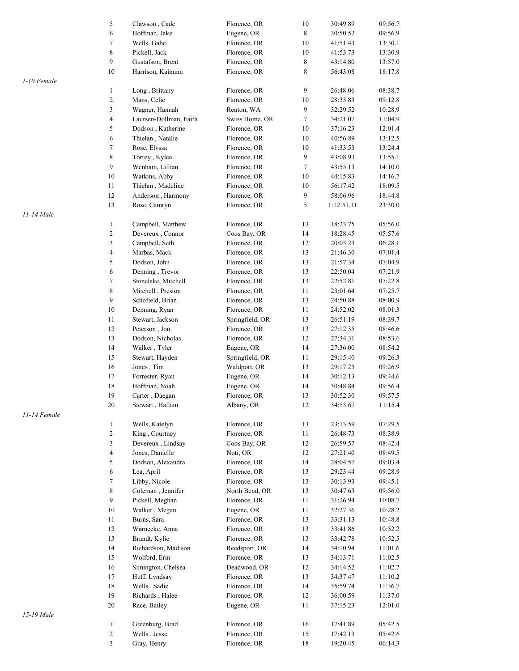|              | 5                        | Clawson, Cade                   | Florence, OR                 | 10               | 30:49.89             | 09:56.7            |
|--------------|--------------------------|---------------------------------|------------------------------|------------------|----------------------|--------------------|
|              | 6                        | Hoffman, Jake                   | Eugene, OR                   | 8                | 30:50.52             | 09:56.9            |
|              | $\boldsymbol{7}$         | Wells, Gabe                     | Florence, OR                 | 10               | 41:51.43             | 13:30.1            |
|              | 8                        | Pickell, Jack                   | Florence, OR                 | 10               | 41:53.73             | 13:30.9            |
|              | 9                        | Gustafson, Brent                | Florence, OR                 | $\,$ 8 $\,$      | 43:14.80             | 13:57.0            |
|              | 10                       | Harrison, Kainunn               | Florence, OR                 | 8                | 56:43.08             | 18:17.8            |
| 1-10 Female  |                          |                                 |                              |                  |                      |                    |
|              | $\mathbf{1}$             | Long, Brittany                  | Florence, OR                 | 9                | 26:48.06             | 08:38.7            |
|              | $\overline{\mathbf{c}}$  | Mans, Celie                     | Florence, OR                 | 10               | 28:33.83             | 09:12.8            |
|              | 3                        | Wagner, Hannah                  | Renton, WA                   | 9                | 32:29.52             | 10:28.9            |
|              | $\overline{\mathcal{L}}$ | Laursen-Dollman, Faith          | Swiss Home, OR               | $\boldsymbol{7}$ | 34:21.07             | 11:04.9            |
|              | 5                        | Dodson, Katherine               | Florence, OR                 | 10               | 37:16.23             | 12:01.4            |
|              | 6                        | Thielan, Natalie                | Florence, OR                 | 10               | 40:56.89             | 13:12.5            |
|              | 7                        | Rose, Elyssa                    | Florence, OR                 | 10               | 41:33.53             | 13:24.4            |
|              | 8                        | Torrey, Kylee                   | Florence, OR                 | 9                | 43:08.93             | 13:55.1            |
|              | 9                        | Wenham, Lillian                 | Florence, OR                 | $\tau$           | 43:55.13             | 14:10.0            |
|              | $10\,$                   | Watkins, Abby                   | Florence, OR                 | 10               | 44:15.83             | 14:16.7            |
|              | $11\,$                   | Thielan, Madeline               | Florence, OR                 | 10               | 56:17.42             | 18:09.5            |
|              | $12\,$                   | Anderson, Harmony               | Florence, OR                 | 9                | 58:06.96             | 18:44.8            |
|              | 13                       | Rose, Camryn                    | Florence, OR                 | 5                | 1:12:51.11           | 23:30.0            |
| 11-14 Male   |                          |                                 |                              |                  |                      |                    |
|              | $\mathbf{1}$             | Campbell, Matthew               | Florence, OR                 | 13               | 18:23.75             | 05:56.0            |
|              | $\overline{\mathbf{c}}$  | Devereux, Connor                | Coos Bay, OR                 | 14               | 18:28.45             | 05:57.6            |
|              | 3                        | Campbell, Seth                  | Florence, OR                 | 12               | 20:03.23             | 06:28.1            |
|              | $\overline{\mathcal{L}}$ | Marbas, Mack                    | Florence, OR                 | 13               | 21:46.30             | 07:01.4            |
|              | 5                        | Dodson, John                    | Florence, OR                 | 13               | 21:57.34             | 07:04.9            |
|              | 6                        | Denning, Trevor                 | Florence, OR                 | 13               | 22:50.04             | 07:21.9            |
|              | 7                        | Stonelake, Mitchell             | Florence, OR                 | 13               | 22:52.81             | 07:22.8            |
|              | 8                        | Mitchell, Preston               | Florence, OR                 | 11               | 23:01.64             | 07:25.7            |
|              | 9                        | Schofield, Brian                | Florence, OR                 | 13               | 24:50.88             | 08:00.9            |
|              | 10                       | Denning, Ryan                   | Florence, OR                 | 11               | 24:52.02             | 08:01.3            |
|              | 11                       | Stewart, Jackson                | Springfield, OR              | 13               | 26:51.19             | 08:39.7            |
|              | $12\,$                   | Peterson, Jon                   | Florence, OR                 | 13               | 27:12.35             | 08:46.6            |
|              | 13                       | Dodson, Nicholas                | Florence, OR                 | 12               | 27:34.31             | 08:53.6            |
|              | 14                       | Walker, Tyler                   | Eugene, OR                   | 14               | 27:36.00             | 08:54.2            |
|              | 15                       | Stewart, Hayden                 | Springfield, OR              | 11               | 29:15.40             | 09:26.3            |
|              | 16                       | Jones, Tim                      | Waldport, OR                 | 13               | 29:17.25             | 09:26.9            |
|              | 17                       | Forrester, Ryan                 | Eugene, OR                   | 14               | 30:12.13             | 09:44.6            |
|              | 18                       | Hoffman, Noah                   | Eugene, OR                   | 14               | 30:48.84             | 09:56.4            |
|              | 19                       | Carter, Daegan                  | Florence, OR                 | 13               | 30:52.30             | 09:57.5            |
|              | 20                       | Stewart, Hallam                 | Albany, OR                   | 12               | 34:53.67             | 11:15.4            |
| 11-14 Female |                          |                                 |                              |                  |                      |                    |
|              | 1                        | Wells, Katelyn                  | Florence, OR                 | 13               | 23:13.59             | 07:29.5            |
|              | 2                        | King, Courtney                  | Florence, OR                 | 11               | 26:48.73             | 08:38.9            |
|              | 3                        | Devereux, Lindsay               | Coos Bay, OR                 | 12               | 26:59.57             | 08:42.4            |
|              | 4                        | Jones, Danielle                 | Noti, OR                     | 12               | 27:21.40             | 08:49.5            |
|              | 5                        | Dodson, Alexandra               | Florence, OR                 | 14               | 28:04.57             | 09:03.4            |
|              | 6                        | Lea, April                      | Florence, OR                 | 13               | 29:23.44             | 09:28.9            |
|              | 7                        | Libby, Nicole                   | Florence, OR                 | 13               | 30:13.93             | 09:45.1            |
|              | 8                        | Coleman, Jennifer               | North Bend, OR               | 13               | 30:47.63             | 09:56.0            |
|              | 9                        | Pickell, Meghan                 | Florence, OR                 | 11               | 31:26.94             | 10:08.7            |
|              | $10\,$                   | Walker, Megan                   | Eugene, OR                   | 11               | 32:27.36             | 10:28.2            |
|              | 11                       | Burns, Sara                     | Florence, OR                 | 13               | 33:31.13             | 10:48.8            |
|              | 12                       | Warnecke, Anna                  | Florence, OR                 | 13               | 33:41.86             | 10:52.2            |
|              | 13                       | Brandt, Kylie                   | Florence, OR                 | 13               | 33:42.78             | 10:52.5            |
|              | 14                       | Richardson, Madison             | Reedsport, OR                | 14               | 34:10.94             | 11:01.6            |
|              | 15                       | Wolford, Erin                   | Florence, OR                 | 13               | 34:13.71             | 11:02.5            |
|              | $16\,$                   | Simington, Chelsea              | Deadwood, OR                 | 12               | 34:14.52             | 11:02.7            |
|              | 17                       | Huff, Lyndsay                   | Florence, OR                 | 13               | 34:37.47             | 11:10.2            |
|              | $18\,$                   | Wells, Sadie                    | Florence, OR                 | 14               | 35:59.74             | 11:36.7            |
|              | 19                       |                                 | Florence, OR                 | 12               |                      |                    |
|              | 20                       | Richards, Halee<br>Race, Bailey | Eugene, OR                   | 11               | 36:00.59<br>37:15.23 | 11:37.0<br>12:01.0 |
| 15-19 Male   |                          |                                 |                              |                  |                      |                    |
|              |                          |                                 |                              |                  |                      |                    |
|              | 1                        | Greenburg, Brad<br>Wells, Jesse | Florence, OR<br>Florence, OR | 16               | 17:41.89             | 05:42.5            |
|              | $\overline{\mathbf{c}}$  |                                 |                              | 15               | 17:42.13             | 05:42.6            |
|              | 3                        | Gray, Henry                     | Florence, OR                 | 18               | 19:20.45             | 06:14.3            |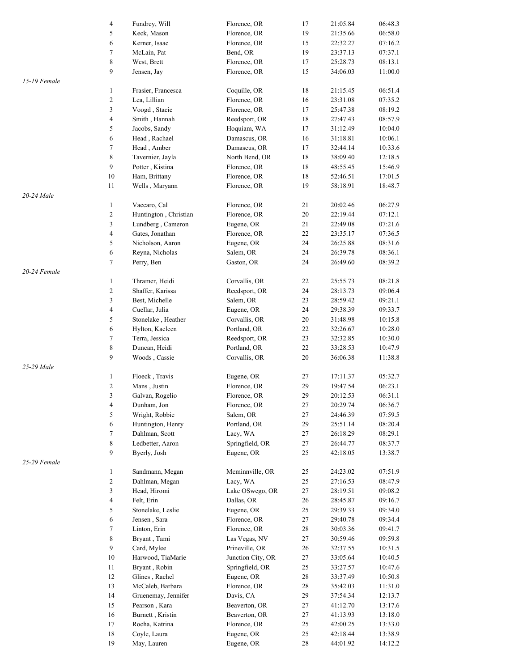|              | $\sqrt{4}$              | Fundrey, Will         | Florence, OR      | 17     | 21:05.84 | 06:48.3 |
|--------------|-------------------------|-----------------------|-------------------|--------|----------|---------|
|              | 5                       | Keck, Mason           | Florence, OR      | 19     | 21:35.66 | 06:58.0 |
|              | 6                       | Kerner, Isaac         | Florence, OR      | 15     | 22:32.27 | 07:16.2 |
|              | $\boldsymbol{7}$        | McLain, Pat           | Bend, OR          | 19     | 23:37.13 | 07:37.1 |
|              | 8                       | West, Brett           | Florence, OR      | 17     | 25:28.73 | 08:13.1 |
|              | 9                       | Jensen, Jay           | Florence, OR      | 15     | 34:06.03 | 11:00.0 |
| 15-19 Female |                         |                       |                   |        |          |         |
|              |                         |                       |                   |        |          |         |
|              | $\mathbf{1}$            | Frasier, Francesca    | Coquille, OR      | 18     | 21:15.45 | 06:51.4 |
|              | $\sqrt{2}$              | Lea, Lillian          | Florence, OR      | 16     | 23:31.08 | 07:35.2 |
|              | 3                       | Voogd, Stacie         | Florence, OR      | 17     | 25:47.38 | 08:19.2 |
|              | $\overline{\mathbf{4}}$ | Smith, Hannah         | Reedsport, OR     | 18     | 27:47.43 | 08:57.9 |
|              | 5                       | Jacobs, Sandy         | Hoquiam, WA       | 17     | 31:12.49 | 10:04.0 |
|              | 6                       | Head, Rachael         | Damascus, OR      | 16     | 31:18.81 | 10:06.1 |
|              | 7                       | Head, Amber           | Damascus, OR      | 17     | 32:44.14 | 10:33.6 |
|              | $\,$ 8 $\,$             | Tavernier, Jayla      | North Bend, OR    | 18     | 38:09.40 | 12:18.5 |
|              | $\boldsymbol{9}$        | Potter, Kistina       | Florence, OR      | 18     | 48:55.45 | 15:46.9 |
|              | 10                      | Ham, Brittany         | Florence, OR      | $18\,$ | 52:46.51 | 17:01.5 |
|              |                         |                       |                   |        |          |         |
|              | 11                      | Wells, Maryann        | Florence, OR      | 19     | 58:18.91 | 18:48.7 |
| 20-24 Male   |                         |                       |                   |        |          |         |
|              | $\mathbf{1}$            | Vaccaro, Cal          | Florence, OR      | 21     | 20:02.46 | 06:27.9 |
|              | $\sqrt{2}$              | Huntington, Christian | Florence, OR      | 20     | 22:19.44 | 07:12.1 |
|              | 3                       | Lundberg, Cameron     | Eugene, OR        | 21     | 22:49.08 | 07:21.6 |
|              | $\sqrt{4}$              | Gates, Jonathan       | Florence, OR      | 22     | 23:35.17 | 07:36.5 |
|              | 5                       | Nicholson, Aaron      | Eugene, OR        | 24     | 26:25.88 | 08:31.6 |
|              | 6                       | Reyna, Nicholas       | Salem, OR         | 24     | 26:39.78 | 08:36.1 |
|              | $\tau$                  | Perry, Ben            | Gaston, OR        | 24     | 26:49.60 | 08:39.2 |
| 20-24 Female |                         |                       |                   |        |          |         |
|              | $\mathbf{1}$            | Thramer, Heidi        | Corvallis, OR     | 22     | 25:55.73 | 08:21.8 |
|              | $\sqrt{2}$              |                       |                   | 24     |          | 09:06.4 |
|              |                         | Shaffer, Karissa      | Reedsport, OR     |        | 28:13.73 |         |
|              | 3                       | Best, Michelle        | Salem, OR         | 23     | 28:59.42 | 09:21.1 |
|              | $\overline{4}$          | Cuellar, Julia        | Eugene, OR        | 24     | 29:38.39 | 09:33.7 |
|              | 5                       | Stonelake, Heather    | Corvallis, OR     | 20     | 31:48.98 | 10:15.8 |
|              | 6                       | Hylton, Kaeleen       | Portland, OR      | 22     | 32:26.67 | 10:28.0 |
|              | $\boldsymbol{7}$        | Terra, Jessica        | Reedsport, OR     | 23     | 32:32.85 | 10:30.0 |
|              | 8                       | Duncan, Heidi         | Portland, OR      | 22     | 33:28.53 | 10:47.9 |
|              | 9                       | Woods, Cassie         | Corvallis, OR     | 20     | 36:06.38 | 11:38.8 |
| 25-29 Male   |                         |                       |                   |        |          |         |
|              | $\mathbf{1}$            | Floeck, Travis        | Eugene, OR        | 27     | 17:11.37 | 05:32.7 |
|              | $\sqrt{2}$              | Mans, Justin          | Florence, OR      | 29     | 19:47.54 | 06:23.1 |
|              | 3                       | Galvan, Rogelio       | Florence, OR      | 29     | 20:12.53 | 06:31.1 |
|              | $\sqrt{4}$              | Dunham, Jon           | Florence, OR      | 27     | 20:29.74 | 06:36.7 |
|              |                         |                       |                   |        |          |         |
|              | 5                       | Wright, Robbie        | Salem, OR         | 27     | 24:46.39 | 07:59.5 |
|              | 6                       | Huntington, Henry     | Portland, OR      | 29     | 25:51.14 | 08:20.4 |
|              | $\boldsymbol{7}$        | Dahlman, Scott        | Lacy, WA          | 27     | 26:18.29 | 08:29.1 |
|              | 8                       | Ledbetter, Aaron      | Springfield, OR   | 27     | 26:44.77 | 08:37.7 |
|              | 9                       | Byerly, Josh          | Eugene, OR        | 25     | 42:18.05 | 13:38.7 |
| 25-29 Female |                         |                       |                   |        |          |         |
|              | $\mathbf{1}$            | Sandmann, Megan       | Mcminnville, OR   | 25     | 24:23.02 | 07:51.9 |
|              | $\sqrt{2}$              | Dahlman, Megan        | Lacy, WA          | 25     | 27:16.53 | 08:47.9 |
|              | 3                       | Head, Hiromi          | Lake OSwego, OR   | 27     | 28:19.51 | 09:08.2 |
|              | $\overline{4}$          | Felt, Erin            | Dallas, OR        | 26     | 28:45.87 | 09:16.7 |
|              | 5                       |                       |                   | 25     |          | 09:34.0 |
|              |                         | Stonelake, Leslie     | Eugene, OR        |        | 29:39.33 |         |
|              | 6                       | Jensen, Sara          | Florence, OR      | 27     | 29:40.78 | 09:34.4 |
|              | 7                       | Linton, Erin          | Florence, OR      | 28     | 30:03.36 | 09:41.7 |
|              | $\,$ 8 $\,$             | Bryant, Tami          | Las Vegas, NV     | 27     | 30:59.46 | 09:59.8 |
|              | $\boldsymbol{9}$        | Card, Mylee           | Prineville, OR    | 26     | 32:37.55 | 10:31.5 |
|              | $10\,$                  | Harwood, TiaMarie     | Junction City, OR | 27     | 33:05.64 | 10:40.5 |
|              | 11                      | Bryant, Robin         | Springfield, OR   | 25     | 33:27.57 | 10:47.6 |
|              | 12                      | Glines, Rachel        | Eugene, OR        | 28     | 33:37.49 | 10:50.8 |
|              | 13                      | McCaleb, Barbara      | Florence, OR      | 28     | 35:42.03 | 11:31.0 |
|              | 14                      | Gruenemay, Jennifer   | Davis, CA         | 29     | 37:54.34 | 12:13.7 |
|              | 15                      | Pearson, Kara         | Beaverton, OR     | 27     | 41:12.70 | 13:17.6 |
|              |                         |                       |                   |        |          |         |
|              | 16                      | Burnett, Kristin      | Beaverton, OR     | 27     | 41:13.93 | 13:18.0 |
|              | 17                      | Rocha, Katrina        | Florence, OR      | 25     | 42:00.25 | 13:33.0 |
|              | 18                      | Coyle, Laura          | Eugene, OR        | 25     | 42:18.44 | 13:38.9 |
|              | 19                      | May, Lauren           | Eugene, OR        | 28     | 44:01.92 | 14:12.2 |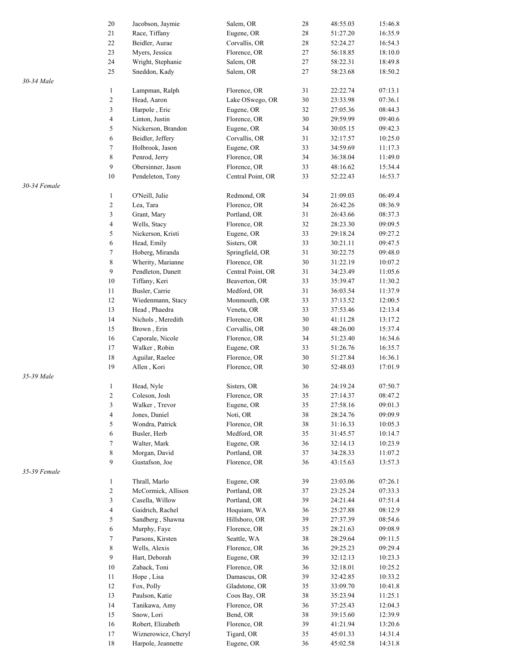|              | $20\,$                   | Jacobson, Jaymie    | Salem, OR         | 28     | 48:55.03 | 15:46.8 |
|--------------|--------------------------|---------------------|-------------------|--------|----------|---------|
|              | 21                       | Race, Tiffany       | Eugene, OR        | $28\,$ | 51:27.20 | 16:35.9 |
|              | $22\,$                   | Beidler, Aurae      | Corvallis, OR     | $28\,$ | 52:24.27 | 16:54.3 |
|              | $23\,$                   | Myers, Jessica      | Florence, OR      | 27     | 56:18.85 | 18:10.0 |
|              | 24                       | Wright, Stephanie   | Salem, OR         | 27     | 58:22.31 | 18:49.8 |
|              | 25                       | Sneddon, Kady       | Salem, OR         | 27     | 58:23.68 | 18:50.2 |
| 30-34 Male   |                          |                     |                   |        |          |         |
|              | $\mathbf{1}$             | Lampman, Ralph      | Florence, OR      | 31     | 22:22.74 | 07:13.1 |
|              | $\sqrt{2}$               | Head, Aaron         | Lake OSwego, OR   | 30     | 23:33.98 | 07:36.1 |
|              | $\mathfrak{Z}$           | Harpole, Eric       | Eugene, OR        | 32     | 27:05.36 | 08:44.3 |
|              | $\overline{\mathbf{4}}$  | Linton, Justin      | Florence, OR      | 30     | 29:59.99 | 09:40.6 |
|              | 5                        | Nickerson, Brandon  | Eugene, OR        | 34     | 30:05.15 | 09:42.3 |
|              | 6                        | Beidler, Jeffery    | Corvallis, OR     | 31     | 32:17.57 | 10:25.0 |
|              | 7                        | Holbrook, Jason     | Eugene, OR        | 33     | 34:59.69 | 11:17.3 |
|              | $\,$ 8 $\,$              |                     |                   | 34     |          |         |
|              | $\boldsymbol{9}$         | Penrod, Jerry       | Florence, OR      |        | 36:38.04 | 11:49.0 |
|              |                          | Obersinner, Jason   | Florence, OR      | 33     | 48:16.62 | 15:34.4 |
|              | $10\,$                   | Pendeleton, Tony    | Central Point, OR | 33     | 52:22.43 | 16:53.7 |
| 30-34 Female |                          |                     |                   |        |          |         |
|              | $\mathbf{1}$             | O'Neill, Julie      | Redmond, OR       | 34     | 21:09.03 | 06:49.4 |
|              | $\sqrt{2}$               | Lea, Tara           | Florence, OR      | 34     | 26:42.26 | 08:36.9 |
|              | $\mathfrak{Z}$           | Grant, Mary         | Portland, OR      | 31     | 26:43.66 | 08:37.3 |
|              | $\sqrt{4}$               | Wells, Stacy        | Florence, OR      | 32     | 28:23.30 | 09:09.5 |
|              | 5                        | Nickerson, Kristi   | Eugene, OR        | 33     | 29:18.24 | 09:27.2 |
|              | $\boldsymbol{6}$         | Head, Emily         | Sisters, OR       | 33     | 30:21.11 | 09:47.5 |
|              | $\boldsymbol{7}$         | Hoberg, Miranda     | Springfield, OR   | 31     | 30:22.75 | 09:48.0 |
|              | $\,$ 8 $\,$              | Wherity, Marianne   | Florence, OR      | 30     | 31:22.19 | 10:07.2 |
|              | 9                        | Pendleton, Danett   | Central Point, OR | 31     | 34:23.49 | 11:05.6 |
|              | 10                       | Tiffany, Keri       | Beaverton, OR     | 33     | 35:39.47 | 11:30.2 |
|              | 11                       | Busler, Carrie      | Medford, OR       | 31     | 36:03.54 | 11:37.9 |
|              | 12                       | Wiedenmann, Stacy   | Monmouth, OR      | 33     | 37:13.52 | 12:00.5 |
|              | 13                       | Head, Phaedra       | Veneta, OR        | 33     | 37:53.46 | 12:13.4 |
|              | 14                       | Nichols, Meredith   | Florence, OR      | $30\,$ | 41:11.28 | 13:17.2 |
|              | 15                       | Brown, Erin         | Corvallis, OR     | 30     | 48:26.00 | 15:37.4 |
|              | 16                       | Caporale, Nicole    | Florence, OR      | 34     | 51:23.40 | 16:34.6 |
|              | 17                       | Walker, Robin       | Eugene, OR        | 33     | 51:26.76 | 16:35.7 |
|              | $18\,$                   |                     | Florence, OR      | 30     |          |         |
|              |                          | Aguilar, Raelee     |                   |        | 51:27.84 | 16:36.1 |
|              | 19                       | Allen, Kori         | Florence, OR      | 30     | 52:48.03 | 17:01.9 |
| 35-39 Male   |                          | Head, Nyle          |                   |        |          | 07:50.7 |
|              | $\mathbf{1}$             |                     | Sisters, OR       | 36     | 24:19.24 |         |
|              | $\overline{c}$           | Coleson, Josh       | Florence, OR      | 35     | 27:14.37 | 08:47.2 |
|              | 3                        | Walker, Trevor      | Eugene, OR        | 35     | 27:58.16 | 09:01.3 |
|              | $\overline{\mathcal{A}}$ | Jones, Daniel       | Noti, OR          | 38     | 28:24.76 | 09:09.9 |
|              | 5                        | Wondra, Patrick     | Florence, OR      | 38     | 31:16.33 | 10:05.3 |
|              | 6                        | Busler, Herb        | Medford, OR       | 35     | 31:45.57 | 10:14.7 |
|              | $\boldsymbol{7}$         | Walter, Mark        | Eugene, OR        | 36     | 32:14.13 | 10:23.9 |
|              | $\,$ 8 $\,$              | Morgan, David       | Portland, OR      | 37     | 34:28.33 | 11:07.2 |
|              | 9                        | Gustafson, Joe      | Florence, OR      | 36     | 43:15.63 | 13:57.3 |
| 35-39 Female |                          |                     |                   |        |          |         |
|              | 1                        | Thrall, Marlo       | Eugene, OR        | 39     | 23:03.06 | 07:26.1 |
|              | $\sqrt{2}$               | McCormick, Allison  | Portland, OR      | 37     | 23:25.24 | 07:33.3 |
|              | 3                        | Casella, Willow     | Portland, OR      | 39     | 24:21.44 | 07:51.4 |
|              | $\sqrt{4}$               | Gaidrich, Rachel    | Hoquiam, WA       | 36     | 25:27.88 | 08:12.9 |
|              | 5                        | Sandberg, Shawna    | Hillsboro, OR     | 39     | 27:37.39 | 08:54.6 |
|              | 6                        | Murphy, Faye        | Florence, OR      | 35     | 28:21.63 | 09:08.9 |
|              | 7                        | Parsons, Kirsten    | Seattle, WA       | 38     | 28:29.64 | 09:11.5 |
|              | $\,$ 8 $\,$              | Wells, Alexis       | Florence, OR      | 36     | 29:25.23 | 09:29.4 |
|              | $\boldsymbol{9}$         | Hart, Deborah       | Eugene, OR        | 39     | 32:12.13 | 10:23.3 |
|              | $10\,$                   | Zaback, Toni        | Florence, OR      | 36     | 32:18.01 | 10:25.2 |
|              | 11                       | Hope, Lisa          | Damascus, OR      | 39     | 32:42.85 | 10:33.2 |
|              | 12                       | Fox, Polly          | Gladstone, OR     | 35     | 33:09.70 | 10:41.8 |
|              | 13                       | Paulson, Katie      | Coos Bay, OR      | 38     | 35:23.94 | 11:25.1 |
|              | 14                       | Tanikawa, Amy       | Florence, OR      | 36     | 37:25.43 | 12:04.3 |
|              | 15                       | Snow, Lori          | Bend, OR          | 38     | 39:15.60 | 12:39.9 |
|              | 16                       | Robert, Elizabeth   | Florence, OR      | 39     | 41:21.94 | 13:20.6 |
|              | 17                       | Wiznerowicz, Cheryl | Tigard, OR        | 35     | 45:01.33 | 14:31.4 |
|              | 18                       | Harpole, Jeannette  | Eugene, OR        | 36     | 45:02.58 | 14:31.8 |
|              |                          |                     |                   |        |          |         |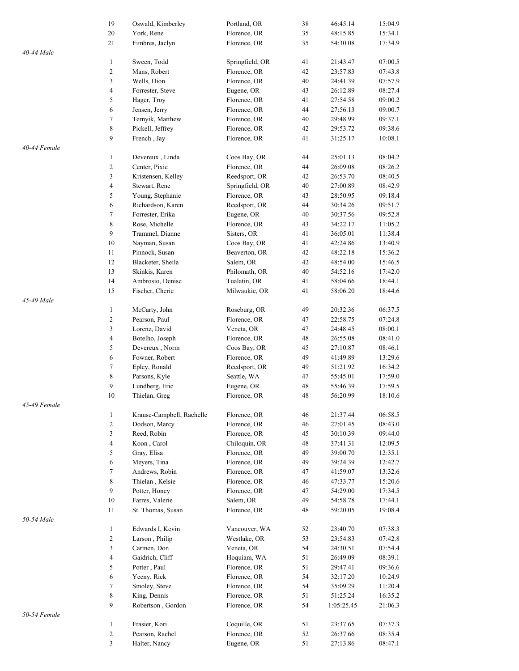|              |                         |                           |                 |    |            | 15:04.9 |
|--------------|-------------------------|---------------------------|-----------------|----|------------|---------|
|              | 19                      | Oswald, Kimberley         | Portland, OR    | 38 | 46:45.14   |         |
|              | $20\,$                  | York, Rene                | Florence, OR    | 35 | 48:15.85   | 15:34.1 |
|              | 21                      | Fimbres, Jaclyn           | Florence, OR    | 35 | 54:30.08   | 17:34.9 |
| 40-44 Male   |                         |                           |                 |    |            |         |
|              | 1                       | Sween, Todd               | Springfield, OR | 41 | 21:43.47   | 07:00.5 |
|              | $\boldsymbol{2}$        | Mans, Robert              | Florence, OR    | 42 | 23:57.83   | 07:43.8 |
|              | 3                       | Wells, Dion               | Florence, OR    | 40 | 24:41.39   | 07:57.9 |
|              | 4                       | Forrester, Steve          | Eugene, OR      | 43 | 26:12.89   | 08:27.4 |
|              | 5                       | Hager, Troy               | Florence, OR    | 41 | 27:54.58   | 09:00.2 |
|              | 6                       | Jensen, Jerry             | Florence, OR    | 44 | 27:56.13   | 09:00.7 |
|              | 7                       | Ternyik, Matthew          | Florence, OR    | 40 | 29:48.99   | 09:37.1 |
|              | 8                       | Pickell, Jeffrey          | Florence, OR    | 42 | 29:53.72   | 09:38.6 |
|              |                         |                           |                 |    |            |         |
|              | 9                       | French, Jay               | Florence, OR    | 41 | 31:25.17   | 10:08.1 |
| 40-44 Female |                         |                           |                 |    |            |         |
|              | $\mathbf{1}$            | Devereux, Linda           | Coos Bay, OR    | 44 | 25:01.13   | 08:04.2 |
|              | $\boldsymbol{2}$        | Center, Pixie             | Florence, OR    | 44 | 26:09.08   | 08:26.2 |
|              | 3                       | Kristensen, Kelley        | Reedsport, OR   | 42 | 26:53.70   | 08:40.5 |
|              | 4                       | Stewart, Rene             | Springfield, OR | 40 | 27:00.89   | 08:42.9 |
|              | 5                       | Young, Stephanie          | Florence, OR    | 43 | 28:50.95   | 09:18.4 |
|              | $\sqrt{6}$              | Richardson, Karen         | Reedsport, OR   | 44 | 30:34.26   | 09:51.7 |
|              | 7                       | Forrester, Erika          | Eugene, OR      | 40 | 30:37.56   | 09:52.8 |
|              |                         |                           |                 |    |            |         |
|              | $\,$ $\,$               | Rose, Michelle            | Florence, OR    | 43 | 34:22.17   | 11:05.2 |
|              | 9                       | Trammel, Dianne           | Sisters, OR     | 41 | 36:05.01   | 11:38.4 |
|              | 10                      | Nayman, Susan             | Coos Bay, OR    | 41 | 42:24.86   | 13:40.9 |
|              | 11                      | Pinnock, Susan            | Beaverton, OR   | 42 | 48:22.18   | 15:36.2 |
|              | 12                      | Blacketer, Sheila         | Salem, OR       | 42 | 48:54.00   | 15:46.5 |
|              | 13                      | Skinkis, Karen            | Philomath, OR   | 40 | 54:52.16   | 17:42.0 |
|              | 14                      | Ambrosio, Denise          | Tualatin, OR    | 41 | 58:04.66   | 18:44.1 |
|              | 15                      | Fischer, Cherie           | Milwaukie, OR   | 41 | 58:06.20   | 18:44.6 |
|              |                         |                           |                 |    |            |         |
| 45-49 Male   |                         |                           |                 |    |            |         |
|              | $\mathbf{1}$            | McCarty, John             | Roseburg, OR    | 49 | 20:32.36   | 06:37.5 |
|              | $\boldsymbol{2}$        | Pearson, Paul             | Florence, OR    | 47 | 22:58.75   | 07:24.8 |
|              | 3                       | Lorenz, David             | Veneta, OR      | 47 | 24:48.45   | 08:00.1 |
|              | $\overline{\mathbf{4}}$ | Botelho, Joseph           | Florence, OR    | 48 | 26:55.08   | 08:41.0 |
|              | 5                       | Devereux, Norm            | Coos Bay, OR    | 45 | 27:10.87   | 08:46.1 |
|              | $\boldsymbol{6}$        | Fowner, Robert            | Florence, OR    | 49 | 41:49.89   | 13:29.6 |
|              | 7                       | Epley, Ronald             | Reedsport, OR   | 49 | 51:21.92   | 16:34.2 |
|              | $\,$ $\,$               | Parsons, Kyle             | Seattle, WA     | 47 | 55:45.01   | 17:59.0 |
|              |                         |                           |                 |    |            |         |
|              | 9                       | Lundberg, Eric            | Eugene, OR      | 48 | 55:46.39   | 17:59.5 |
|              | $10\,$                  | Thielan, Greg             | Florence, OR    | 48 | 56:20.99   | 18:10.6 |
| 45-49 Female |                         |                           |                 |    |            |         |
|              | $\mathbf{1}$            | Krause-Campbell, Rachelle | Florence, OR    | 46 | 21:37.44   | 06:58.5 |
|              | $\boldsymbol{2}$        | Dodson, Marcy             | Florence, OR    | 46 | 27:01.45   | 08:43.0 |
|              | 3                       | Reed, Robin               | Florence, OR    | 45 | 30:10.39   | 09:44.0 |
|              | $\overline{\mathbf{4}}$ | Koon, Carol               | Chiloquin, OR   | 48 | 37:41.31   | 12:09.5 |
|              | 5                       | Gray, Elisa               | Florence, OR    | 49 | 39:00.70   | 12:35.1 |
|              | 6                       | Meyers, Tina              | Florence, OR    | 49 | 39:24.39   | 12:42.7 |
|              |                         |                           |                 |    |            |         |
|              | 7                       | Andrews, Robin            | Florence, OR    | 47 | 41:59.07   | 13:32.6 |
|              | $\,$ 8 $\,$             | Thielan, Kelsie           | Florence, OR    | 46 | 47:33.77   | 15:20.6 |
|              | 9                       | Potter, Honey             | Florence, OR    | 47 | 54:29.00   | 17:34.5 |
|              | 10                      | Farres, Valerie           | Salem, OR       | 49 | 54:58.78   | 17:44.1 |
|              | 11                      | St. Thomas, Susan         | Florence, OR    | 48 | 59:20.05   | 19:08.4 |
| 50-54 Male   |                         |                           |                 |    |            |         |
|              | $\mathbf{1}$            | Edwards I, Kevin          | Vancouver, WA   | 52 | 23:40.70   | 07:38.3 |
|              | $\boldsymbol{2}$        | Larson, Philip            | Westlake, OR    | 53 | 23:54.83   | 07:42.8 |
|              | 3                       | Carmen, Don               | Veneta, OR      | 54 | 24:30.51   | 07:54.4 |
|              |                         |                           |                 |    |            |         |
|              | $\overline{\mathbf{4}}$ | Gaidrich, Cliff           | Hoquiam, WA     | 51 | 26:49.09   | 08:39.1 |
|              | 5                       | Potter, Paul              | Florence, OR    | 51 | 29:47.41   | 09:36.6 |
|              | 6                       | Yecny, Rick               | Florence, OR    | 54 | 32:17.20   | 10:24.9 |
|              | 7                       | Smoley, Steve             | Florence, OR    | 54 | 35:09.29   | 11:20.4 |
|              | $\,$ $\,$               | King, Dennis              | Florence, OR    | 51 | 51:25.24   | 16:35.2 |
|              | 9                       | Robertson, Gordon         | Florence, OR    | 54 | 1:05:25.45 | 21:06.3 |
| 50-54 Female |                         |                           |                 |    |            |         |
|              | $\mathbf{1}$            | Frasier, Kori             | Coquille, OR    | 51 | 23:37.65   | 07:37.3 |
|              |                         |                           |                 |    |            |         |
|              | $\sqrt{2}$              | Pearson, Rachel           | Florence, OR    | 52 | 26:37.66   | 08:35.4 |
|              | 3                       | Halter, Nancy             | Eugene, OR      | 51 | 27:13.86   | 08:47.1 |
|              |                         |                           |                 |    |            |         |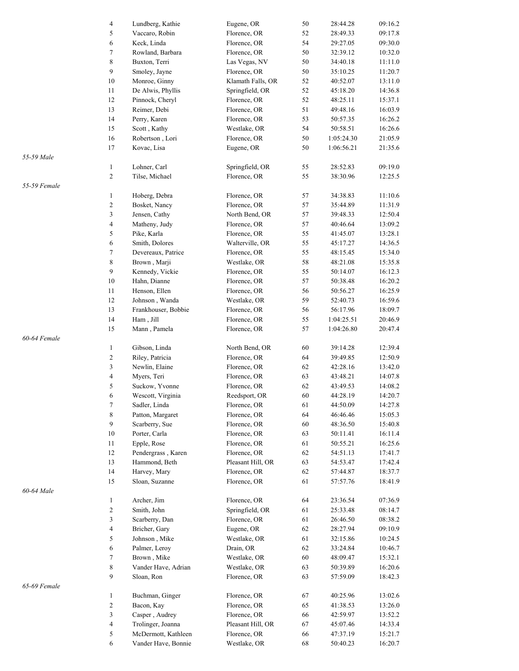|              | 4                        | Lundberg, Kathie    | Eugene, OR        | 50 | 28:44.28   | 09:16.2 |
|--------------|--------------------------|---------------------|-------------------|----|------------|---------|
|              | 5                        | Vaccaro, Robin      | Florence, OR      | 52 | 28:49.33   | 09:17.8 |
|              | 6                        | Keck, Linda         | Florence, OR      | 54 | 29:27.05   | 09:30.0 |
|              | 7                        |                     |                   |    |            |         |
|              |                          | Rowland, Barbara    | Florence, OR      | 50 | 32:39.12   | 10:32.0 |
|              | 8                        | Buxton, Terri       | Las Vegas, NV     | 50 | 34:40.18   | 11:11.0 |
|              | 9                        | Smoley, Jayne       | Florence, OR      | 50 | 35:10.25   | 11:20.7 |
|              | 10                       | Monroe, Ginny       | Klamath Falls, OR | 52 | 40:52.07   | 13:11.0 |
|              | 11                       | De Alwis, Phyllis   | Springfield, OR   | 52 | 45:18.20   | 14:36.8 |
|              | 12                       | Pinnock, Cheryl     | Florence, OR      | 52 | 48:25.11   | 15:37.1 |
|              | 13                       | Reimer, Debi        | Florence, OR      | 51 | 49:48.16   | 16:03.9 |
|              | 14                       | Perry, Karen        | Florence, OR      | 53 | 50:57.35   | 16:26.2 |
|              | 15                       | Scott, Kathy        | Westlake, OR      | 54 | 50:58.51   | 16:26.6 |
|              | 16                       | Robertson, Lori     | Florence, OR      | 50 | 1:05:24.30 | 21:05.9 |
|              | 17                       | Kovac, Lisa         | Eugene, OR        | 50 | 1:06:56.21 | 21:35.6 |
|              |                          |                     |                   |    |            |         |
| 55-59 Male   |                          |                     |                   |    |            |         |
|              | $\mathbf{1}$             | Lohner, Carl        | Springfield, OR   | 55 | 28:52.83   | 09:19.0 |
|              | $\overline{c}$           | Tilse, Michael      | Florence, OR      | 55 | 38:30.96   | 12:25.5 |
| 55-59 Female |                          |                     |                   |    |            |         |
|              | $\mathbf{1}$             | Hoberg, Debra       | Florence, OR      | 57 | 34:38.83   | 11:10.6 |
|              | $\overline{\mathbf{c}}$  | Bosket, Nancy       | Florence, OR      | 57 | 35:44.89   | 11:31.9 |
|              | 3                        | Jensen, Cathy       | North Bend, OR    | 57 | 39:48.33   | 12:50.4 |
|              | $\overline{\mathcal{L}}$ | Matheny, Judy       | Florence, OR      | 57 | 40:46.64   | 13:09.2 |
|              | 5                        | Pike, Karla         | Florence, OR      | 55 | 41:45.07   | 13:28.1 |
|              | 6                        | Smith, Dolores      | Walterville, OR   | 55 | 45:17.27   | 14:36.5 |
|              | 7                        | Devereaux, Patrice  | Florence, OR      | 55 | 48:15.45   | 15:34.0 |
|              | 8                        |                     |                   |    |            |         |
|              |                          | Brown, Marji        | Westlake, OR      | 58 | 48:21.08   | 15:35.8 |
|              | 9                        | Kennedy, Vickie     | Florence, OR      | 55 | 50:14.07   | 16:12.3 |
|              | $10\,$                   | Hahn, Dianne        | Florence, OR      | 57 | 50:38.48   | 16:20.2 |
|              | 11                       | Henson, Ellen       | Florence, OR      | 56 | 50:56.27   | 16:25.9 |
|              | 12                       | Johnson, Wanda      | Westlake, OR      | 59 | 52:40.73   | 16:59.6 |
|              | 13                       | Frankhouser, Bobbie | Florence, OR      | 56 | 56:17.96   | 18:09.7 |
|              | 14                       | Ham, Jill           | Florence, OR      | 55 | 1:04:25.51 | 20:46.9 |
|              | 15                       | Mann, Pamela        | Florence, OR      | 57 | 1:04:26.80 | 20:47.4 |
| 60-64 Female |                          |                     |                   |    |            |         |
|              | $\mathbf{1}$             | Gibson, Linda       | North Bend, OR    | 60 | 39:14.28   | 12:39.4 |
|              | $\overline{\mathbf{c}}$  | Riley, Patricia     | Florence, OR      | 64 | 39:49.85   | 12:50.9 |
|              | 3                        | Newlin, Elaine      | Florence, OR      | 62 | 42:28.16   | 13:42.0 |
|              |                          |                     |                   |    |            |         |
|              | $\overline{\mathcal{L}}$ | Myers, Teri         | Florence, OR      | 63 | 43:48.21   | 14:07.8 |
|              | 5                        | Suckow, Yvonne      | Florence, OR      | 62 | 43:49.53   | 14:08.2 |
|              | 6                        | Wescott, Virginia   | Reedsport, OR     | 60 | 44:28.19   | 14:20.7 |
|              | 7                        | Sadler, Linda       | Florence, OR      | 61 | 44:50.09   | 14:27.8 |
|              | 8                        | Patton, Margaret    | Florence, OR      | 64 | 46:46.46   | 15:05.3 |
|              | 9                        | Scarberry, Sue      | Florence, OR      | 60 | 48:36.50   | 15:40.8 |
|              | $10\,$                   | Porter, Carla       | Florence, OR      | 63 | 50:11.41   | 16:11.4 |
|              | 11                       | Epple, Rose         | Florence, OR      | 61 | 50:55.21   | 16:25.6 |
|              | 12                       | Pendergrass, Karen  | Florence, OR      | 62 | 54:51.13   | 17:41.7 |
|              | 13                       | Hammond, Beth       | Pleasant Hill, OR | 63 | 54:53.47   | 17:42.4 |
|              | 14                       | Harvey, Mary        | Florence, OR      | 62 | 57:44.87   | 18:37.7 |
|              |                          | Sloan, Suzanne      |                   |    |            |         |
|              | $15\,$                   |                     | Florence, OR      | 61 | 57:57.76   | 18:41.9 |
| 60-64 Male   |                          |                     |                   |    |            |         |
|              | $\mathbf{1}$             | Archer, Jim         | Florence, OR      | 64 | 23:36.54   | 07:36.9 |
|              | 2                        | Smith, John         | Springfield, OR   | 61 | 25:33.48   | 08:14.7 |
|              | 3                        | Scarberry, Dan      | Florence, OR      | 61 | 26:46.50   | 08:38.2 |
|              | 4                        | Bricher, Gary       | Eugene, OR        | 62 | 28:27.94   | 09:10.9 |
|              | 5                        | Johnson, Mike       | Westlake, OR      | 61 | 32:15.86   | 10:24.5 |
|              | 6                        | Palmer, Leroy       | Drain, OR         | 62 | 33:24.84   | 10:46.7 |
|              | 7                        | Brown, Mike         | Westlake, OR      | 60 | 48:09.47   | 15:32.1 |
|              | 8                        | Vander Have, Adrian | Westlake, OR      | 63 | 50:39.89   | 16:20.6 |
|              | 9                        | Sloan, Ron          | Florence, OR      | 63 | 57:59.09   | 18:42.3 |
|              |                          |                     |                   |    |            |         |
| 65-69 Female |                          |                     |                   |    |            |         |
|              | $\mathbf{1}$             | Buchman, Ginger     | Florence, OR      | 67 | 40:25.96   | 13:02.6 |
|              | 2                        | Bacon, Kay          | Florence, OR      | 65 | 41:38.53   | 13:26.0 |
|              | 3                        | Casper, Audrey      | Florence, OR      | 66 | 42:59.97   | 13:52.2 |
|              | 4                        | Trolinger, Joanna   | Pleasant Hill, OR | 67 | 45:07.46   | 14:33.4 |
|              | 5                        | McDermott, Kathleen | Florence, OR      | 66 | 47:37.19   | 15:21.7 |
|              | 6                        | Vander Have, Bonnie | Westlake, OR      | 68 | 50:40.23   | 16:20.7 |
|              |                          |                     |                   |    |            |         |